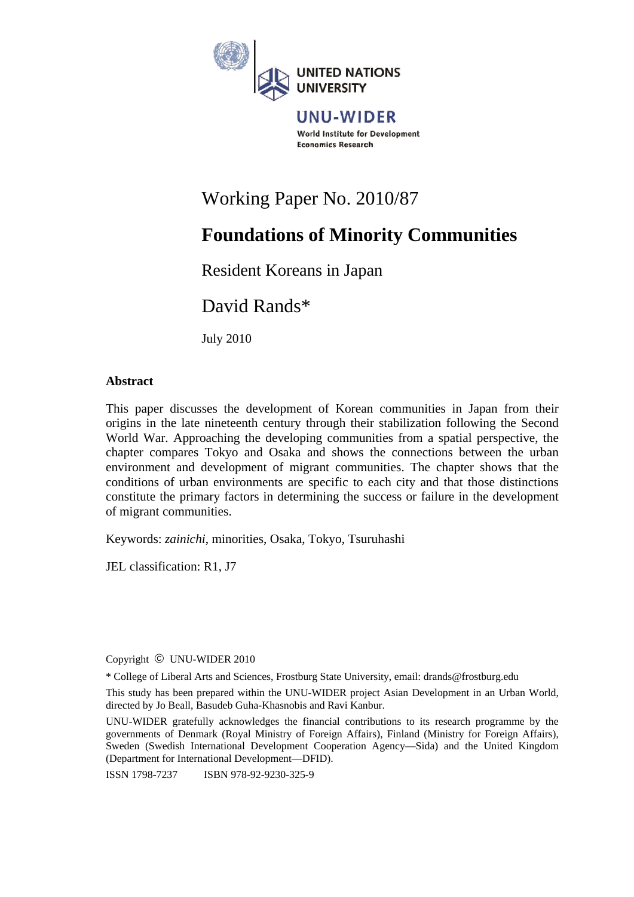

World Institute for Development **Economics Research** 

# Working Paper No. 2010/87

# **Foundations of Minority Communities**

# Resident Koreans in Japan

David Rands\*

July 2010

# **Abstract**

This paper discusses the development of Korean communities in Japan from their origins in the late nineteenth century through their stabilization following the Second World War. Approaching the developing communities from a spatial perspective, the chapter compares Tokyo and Osaka and shows the connections between the urban environment and development of migrant communities. The chapter shows that the conditions of urban environments are specific to each city and that those distinctions constitute the primary factors in determining the success or failure in the development of migrant communities.

Keywords: *zainichi*, minorities, Osaka, Tokyo, Tsuruhashi

JEL classification: R1, J7

Copyright © UNU-WIDER 2010

\* College of Liberal Arts and Sciences, Frostburg State University, email: drands@frostburg.edu

This study has been prepared within the UNU-WIDER project Asian Development in an Urban World, directed by Jo Beall, Basudeb Guha-Khasnobis and Ravi Kanbur.

UNU-WIDER gratefully acknowledges the financial contributions to its research programme by the governments of Denmark (Royal Ministry of Foreign Affairs), Finland (Ministry for Foreign Affairs), Sweden (Swedish International Development Cooperation Agency—Sida) and the United Kingdom (Department for International Development—DFID).

ISSN 1798-7237 ISBN 978-92-9230-325-9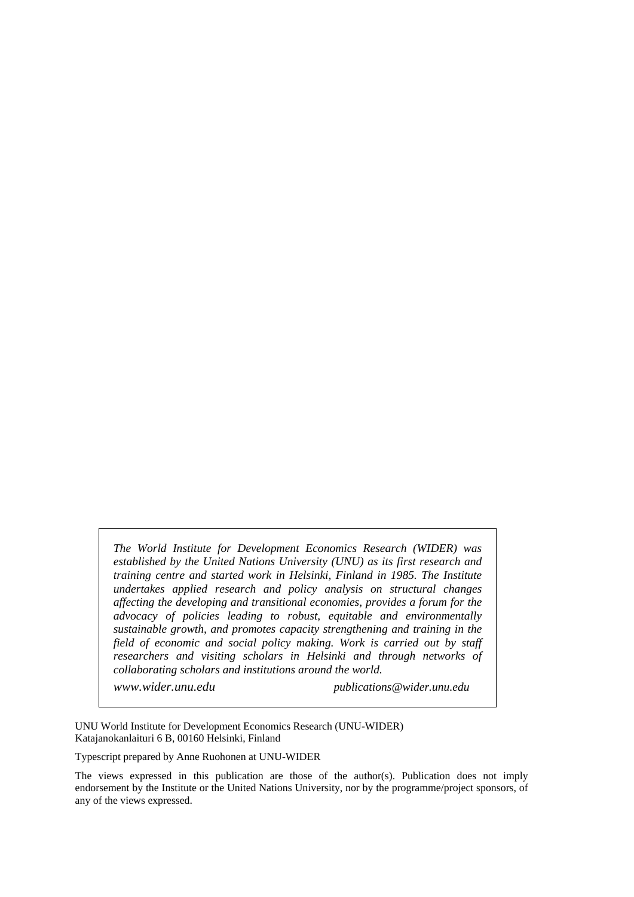*The World Institute for Development Economics Research (WIDER) was established by the United Nations University (UNU) as its first research and training centre and started work in Helsinki, Finland in 1985. The Institute undertakes applied research and policy analysis on structural changes affecting the developing and transitional economies, provides a forum for the advocacy of policies leading to robust, equitable and environmentally sustainable growth, and promotes capacity strengthening and training in the field of economic and social policy making. Work is carried out by staff researchers and visiting scholars in Helsinki and through networks of collaborating scholars and institutions around the world.* 

*www.wider.unu.edu publications@wider.unu.edu*

UNU World Institute for Development Economics Research (UNU-WIDER) Katajanokanlaituri 6 B, 00160 Helsinki, Finland

Typescript prepared by Anne Ruohonen at UNU-WIDER

The views expressed in this publication are those of the author(s). Publication does not imply endorsement by the Institute or the United Nations University, nor by the programme/project sponsors, of any of the views expressed.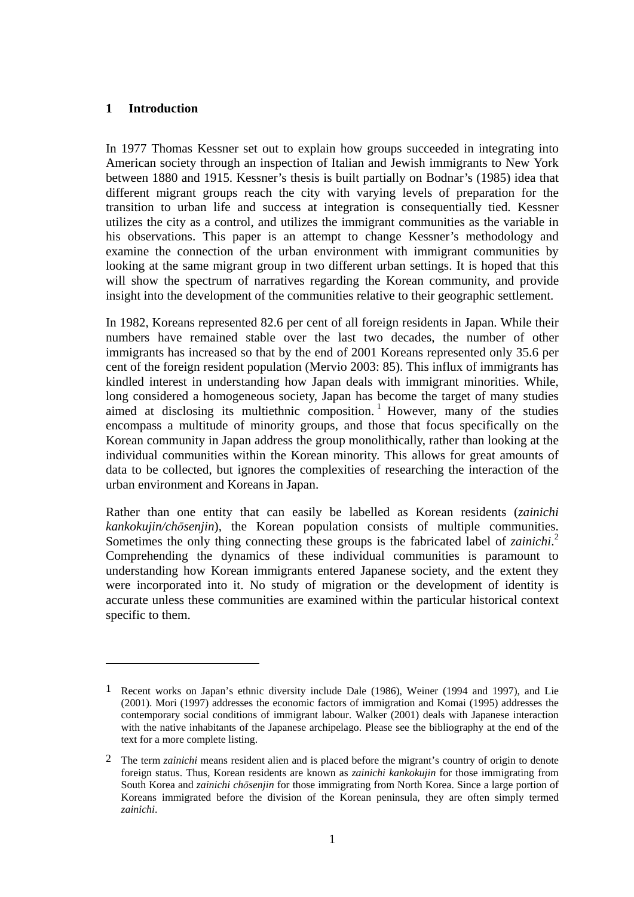# **1 Introduction**

1

In 1977 Thomas Kessner set out to explain how groups succeeded in integrating into American society through an inspection of Italian and Jewish immigrants to New York between 1880 and 1915. Kessner's thesis is built partially on Bodnar's (1985) idea that different migrant groups reach the city with varying levels of preparation for the transition to urban life and success at integration is consequentially tied. Kessner utilizes the city as a control, and utilizes the immigrant communities as the variable in his observations. This paper is an attempt to change Kessner's methodology and examine the connection of the urban environment with immigrant communities by looking at the same migrant group in two different urban settings. It is hoped that this will show the spectrum of narratives regarding the Korean community, and provide insight into the development of the communities relative to their geographic settlement.

In 1982, Koreans represented 82.6 per cent of all foreign residents in Japan. While their numbers have remained stable over the last two decades, the number of other immigrants has increased so that by the end of 2001 Koreans represented only 35.6 per cent of the foreign resident population (Mervio 2003: 85). This influx of immigrants has kindled interest in understanding how Japan deals with immigrant minorities. While, long considered a homogeneous society, Japan has become the target of many studies aimed at disclosing its multiethnic composition.<sup>1</sup> However, many of the studies encompass a multitude of minority groups, and those that focus specifically on the Korean community in Japan address the group monolithically, rather than looking at the individual communities within the Korean minority. This allows for great amounts of data to be collected, but ignores the complexities of researching the interaction of the urban environment and Koreans in Japan.

Rather than one entity that can easily be labelled as Korean residents (*zainichi kankokujin/chōsenjin*), the Korean population consists of multiple communities. Sometimes the only thing connecting these groups is the fabricated label of *zainichi*. 2 Comprehending the dynamics of these individual communities is paramount to understanding how Korean immigrants entered Japanese society, and the extent they were incorporated into it. No study of migration or the development of identity is accurate unless these communities are examined within the particular historical context specific to them.

<sup>1</sup> Recent works on Japan's ethnic diversity include Dale (1986), Weiner (1994 and 1997), and Lie (2001). Mori (1997) addresses the economic factors of immigration and Komai (1995) addresses the contemporary social conditions of immigrant labour. Walker (2001) deals with Japanese interaction with the native inhabitants of the Japanese archipelago. Please see the bibliography at the end of the text for a more complete listing.

<sup>2</sup> The term *zainichi* means resident alien and is placed before the migrant's country of origin to denote foreign status. Thus, Korean residents are known as *zainichi kankokujin* for those immigrating from South Korea and *zainichi chōsenjin* for those immigrating from North Korea. Since a large portion of Koreans immigrated before the division of the Korean peninsula, they are often simply termed *zainichi*.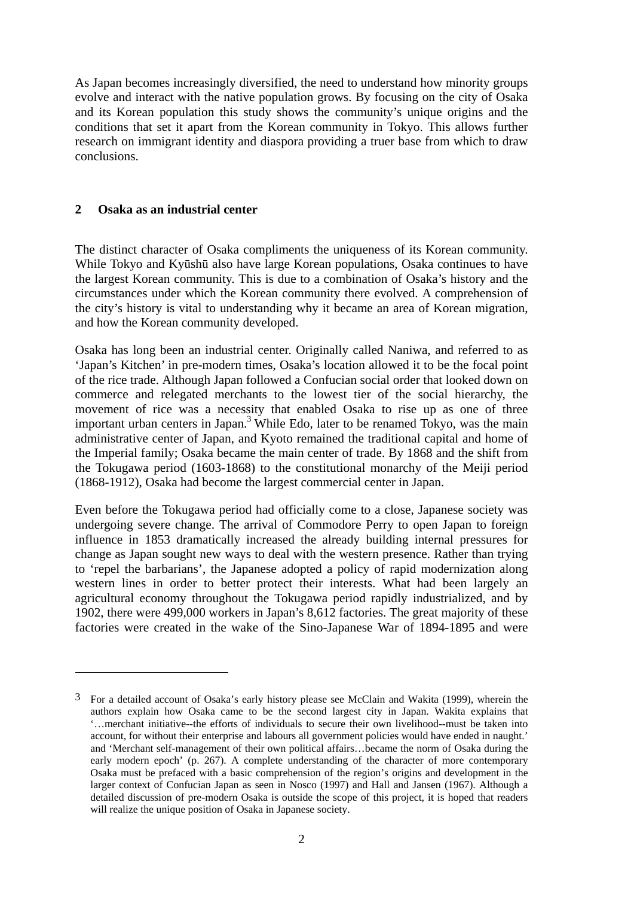As Japan becomes increasingly diversified, the need to understand how minority groups evolve and interact with the native population grows. By focusing on the city of Osaka and its Korean population this study shows the community's unique origins and the conditions that set it apart from the Korean community in Tokyo. This allows further research on immigrant identity and diaspora providing a truer base from which to draw conclusions.

### **2 Osaka as an industrial center**

 $\overline{a}$ 

The distinct character of Osaka compliments the uniqueness of its Korean community. While Tokyo and Kyūshū also have large Korean populations, Osaka continues to have the largest Korean community. This is due to a combination of Osaka's history and the circumstances under which the Korean community there evolved. A comprehension of the city's history is vital to understanding why it became an area of Korean migration, and how the Korean community developed.

Osaka has long been an industrial center. Originally called Naniwa, and referred to as 'Japan's Kitchen' in pre-modern times, Osaka's location allowed it to be the focal point of the rice trade. Although Japan followed a Confucian social order that looked down on commerce and relegated merchants to the lowest tier of the social hierarchy, the movement of rice was a necessity that enabled Osaka to rise up as one of three important urban centers in Japan.<sup>3</sup> While Edo, later to be renamed Tokyo, was the main administrative center of Japan, and Kyoto remained the traditional capital and home of the Imperial family; Osaka became the main center of trade. By 1868 and the shift from the Tokugawa period (1603-1868) to the constitutional monarchy of the Meiji period (1868-1912), Osaka had become the largest commercial center in Japan.

Even before the Tokugawa period had officially come to a close, Japanese society was undergoing severe change. The arrival of Commodore Perry to open Japan to foreign influence in 1853 dramatically increased the already building internal pressures for change as Japan sought new ways to deal with the western presence. Rather than trying to 'repel the barbarians', the Japanese adopted a policy of rapid modernization along western lines in order to better protect their interests. What had been largely an agricultural economy throughout the Tokugawa period rapidly industrialized, and by 1902, there were 499,000 workers in Japan's 8,612 factories. The great majority of these factories were created in the wake of the Sino-Japanese War of 1894-1895 and were

<sup>3</sup> For a detailed account of Osaka's early history please see McClain and Wakita (1999), wherein the authors explain how Osaka came to be the second largest city in Japan. Wakita explains that '…merchant initiative--the efforts of individuals to secure their own livelihood--must be taken into account, for without their enterprise and labours all government policies would have ended in naught.' and 'Merchant self-management of their own political affairs…became the norm of Osaka during the early modern epoch' (p. 267). A complete understanding of the character of more contemporary Osaka must be prefaced with a basic comprehension of the region's origins and development in the larger context of Confucian Japan as seen in Nosco (1997) and Hall and Jansen (1967). Although a detailed discussion of pre-modern Osaka is outside the scope of this project, it is hoped that readers will realize the unique position of Osaka in Japanese society.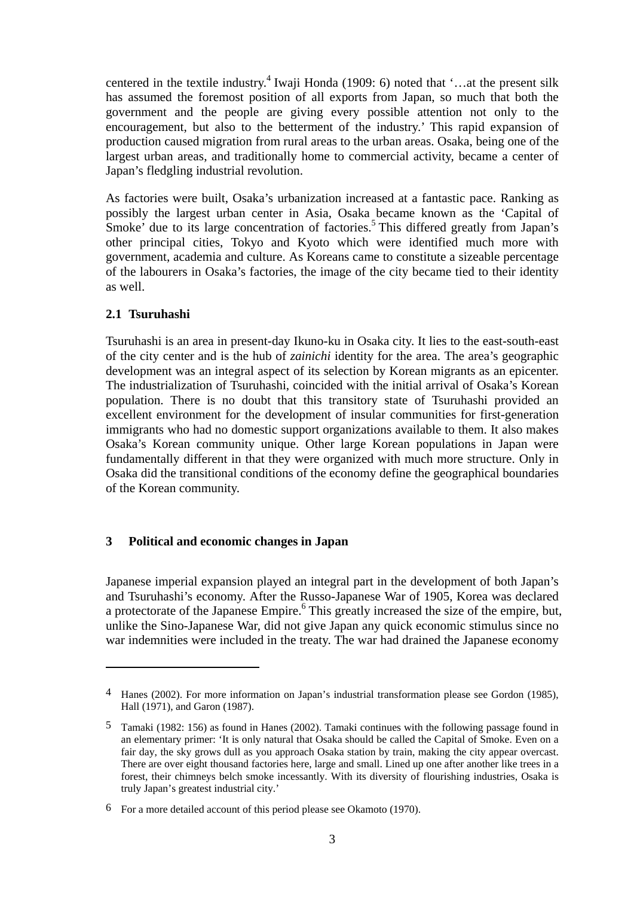centered in the textile industry.<sup>4</sup> Iwaji Honda (1909: 6) noted that '...at the present silk has assumed the foremost position of all exports from Japan, so much that both the government and the people are giving every possible attention not only to the encouragement, but also to the betterment of the industry.' This rapid expansion of production caused migration from rural areas to the urban areas. Osaka, being one of the largest urban areas, and traditionally home to commercial activity, became a center of Japan's fledgling industrial revolution.

As factories were built, Osaka's urbanization increased at a fantastic pace. Ranking as possibly the largest urban center in Asia, Osaka became known as the 'Capital of Smoke' due to its large concentration of factories.<sup>5</sup> This differed greatly from Japan's other principal cities, Tokyo and Kyoto which were identified much more with government, academia and culture. As Koreans came to constitute a sizeable percentage of the labourers in Osaka's factories, the image of the city became tied to their identity as well.

### **2.1 Tsuruhashi**

1

Tsuruhashi is an area in present-day Ikuno-ku in Osaka city. It lies to the east-south-east of the city center and is the hub of *zainichi* identity for the area. The area's geographic development was an integral aspect of its selection by Korean migrants as an epicenter. The industrialization of Tsuruhashi, coincided with the initial arrival of Osaka's Korean population. There is no doubt that this transitory state of Tsuruhashi provided an excellent environment for the development of insular communities for first-generation immigrants who had no domestic support organizations available to them. It also makes Osaka's Korean community unique. Other large Korean populations in Japan were fundamentally different in that they were organized with much more structure. Only in Osaka did the transitional conditions of the economy define the geographical boundaries of the Korean community.

#### **3 Political and economic changes in Japan**

Japanese imperial expansion played an integral part in the development of both Japan's and Tsuruhashi's economy. After the Russo-Japanese War of 1905, Korea was declared a protectorate of the Japanese Empire.<sup>6</sup> This greatly increased the size of the empire, but, unlike the Sino-Japanese War, did not give Japan any quick economic stimulus since no war indemnities were included in the treaty. The war had drained the Japanese economy

<sup>4</sup> Hanes (2002). For more information on Japan's industrial transformation please see Gordon (1985), Hall (1971), and Garon (1987).

<sup>5</sup> Tamaki (1982: 156) as found in Hanes (2002). Tamaki continues with the following passage found in an elementary primer: 'It is only natural that Osaka should be called the Capital of Smoke. Even on a fair day, the sky grows dull as you approach Osaka station by train, making the city appear overcast. There are over eight thousand factories here, large and small. Lined up one after another like trees in a forest, their chimneys belch smoke incessantly. With its diversity of flourishing industries, Osaka is truly Japan's greatest industrial city.'

<sup>6</sup> For a more detailed account of this period please see Okamoto (1970).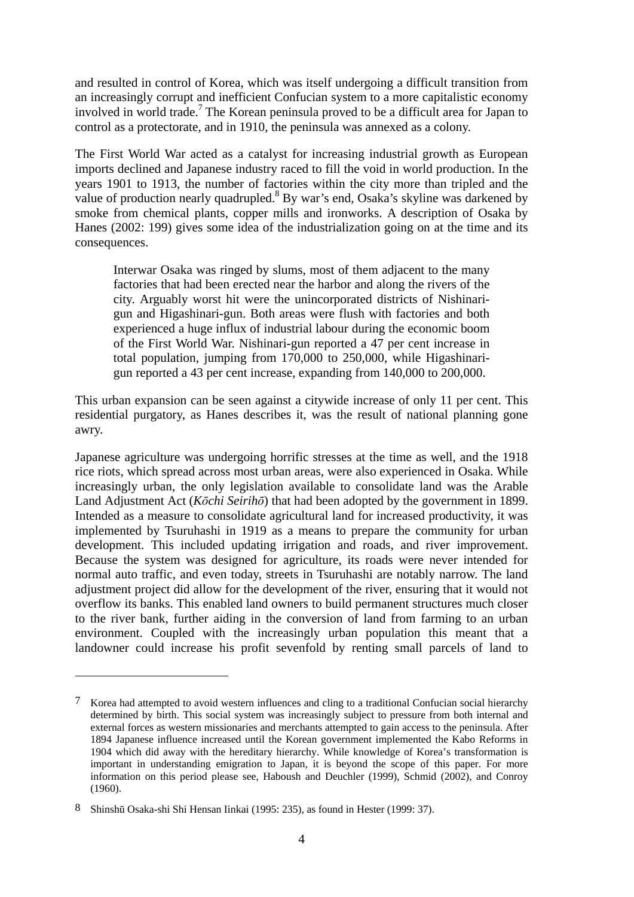and resulted in control of Korea, which was itself undergoing a difficult transition from an increasingly corrupt and inefficient Confucian system to a more capitalistic economy involved in world trade.<sup>7</sup> The Korean peninsula proved to be a difficult area for Japan to control as a protectorate, and in 1910, the peninsula was annexed as a colony.

The First World War acted as a catalyst for increasing industrial growth as European imports declined and Japanese industry raced to fill the void in world production. In the years 1901 to 1913, the number of factories within the city more than tripled and the value of production nearly quadrupled.  $8$  By war's end, Osaka's skyline was darkened by smoke from chemical plants, copper mills and ironworks. A description of Osaka by Hanes (2002: 199) gives some idea of the industrialization going on at the time and its consequences.

Interwar Osaka was ringed by slums, most of them adjacent to the many factories that had been erected near the harbor and along the rivers of the city. Arguably worst hit were the unincorporated districts of Nishinarigun and Higashinari-gun. Both areas were flush with factories and both experienced a huge influx of industrial labour during the economic boom of the First World War. Nishinari-gun reported a 47 per cent increase in total population, jumping from 170,000 to 250,000, while Higashinarigun reported a 43 per cent increase, expanding from 140,000 to 200,000.

This urban expansion can be seen against a citywide increase of only 11 per cent. This residential purgatory, as Hanes describes it, was the result of national planning gone awry.

Japanese agriculture was undergoing horrific stresses at the time as well, and the 1918 rice riots, which spread across most urban areas, were also experienced in Osaka. While increasingly urban, the only legislation available to consolidate land was the Arable Land Adjustment Act (*Kōchi Seirihō*) that had been adopted by the government in 1899. Intended as a measure to consolidate agricultural land for increased productivity, it was implemented by Tsuruhashi in 1919 as a means to prepare the community for urban development. This included updating irrigation and roads, and river improvement. Because the system was designed for agriculture, its roads were never intended for normal auto traffic, and even today, streets in Tsuruhashi are notably narrow. The land adjustment project did allow for the development of the river, ensuring that it would not overflow its banks. This enabled land owners to build permanent structures much closer to the river bank, further aiding in the conversion of land from farming to an urban environment. Coupled with the increasingly urban population this meant that a landowner could increase his profit sevenfold by renting small parcels of land to

 $\overline{a}$ 

<sup>7</sup> Korea had attempted to avoid western influences and cling to a traditional Confucian social hierarchy determined by birth. This social system was increasingly subject to pressure from both internal and external forces as western missionaries and merchants attempted to gain access to the peninsula. After 1894 Japanese influence increased until the Korean government implemented the Kabo Reforms in 1904 which did away with the hereditary hierarchy. While knowledge of Korea's transformation is important in understanding emigration to Japan, it is beyond the scope of this paper. For more information on this period please see, Haboush and Deuchler (1999), Schmid (2002), and Conroy (1960).

<sup>8</sup> Shinshū Osaka-shi Shi Hensan Iinkai (1995: 235), as found in Hester (1999: 37).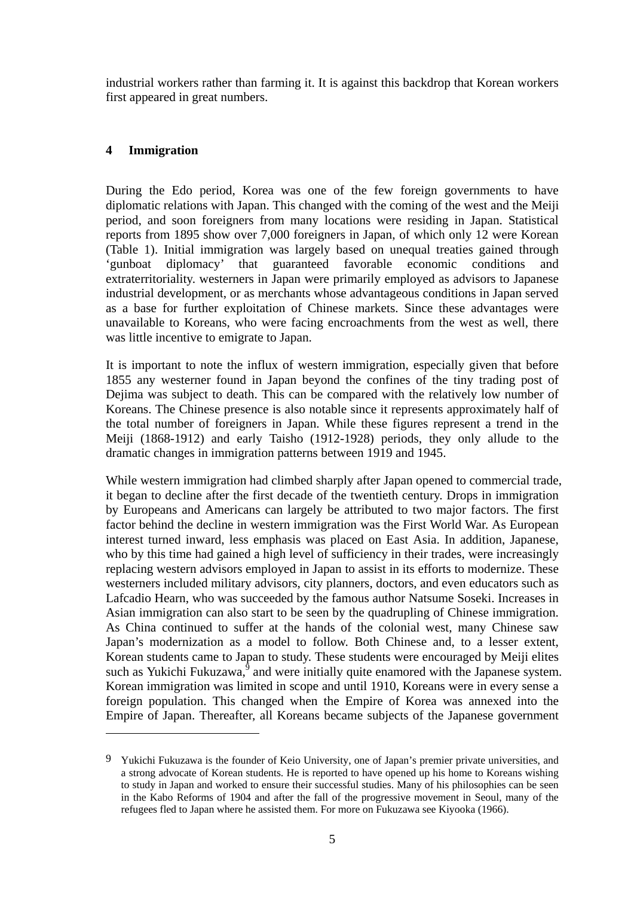industrial workers rather than farming it. It is against this backdrop that Korean workers first appeared in great numbers.

# **4 Immigration**

<u>.</u>

During the Edo period, Korea was one of the few foreign governments to have diplomatic relations with Japan. This changed with the coming of the west and the Meiji period, and soon foreigners from many locations were residing in Japan. Statistical reports from 1895 show over 7,000 foreigners in Japan, of which only 12 were Korean (Table 1). Initial immigration was largely based on unequal treaties gained through 'gunboat diplomacy' that guaranteed favorable economic conditions and extraterritoriality. westerners in Japan were primarily employed as advisors to Japanese industrial development, or as merchants whose advantageous conditions in Japan served as a base for further exploitation of Chinese markets. Since these advantages were unavailable to Koreans, who were facing encroachments from the west as well, there was little incentive to emigrate to Japan.

It is important to note the influx of western immigration, especially given that before 1855 any westerner found in Japan beyond the confines of the tiny trading post of Dejima was subject to death. This can be compared with the relatively low number of Koreans. The Chinese presence is also notable since it represents approximately half of the total number of foreigners in Japan. While these figures represent a trend in the Meiji (1868-1912) and early Taisho (1912-1928) periods, they only allude to the dramatic changes in immigration patterns between 1919 and 1945.

While western immigration had climbed sharply after Japan opened to commercial trade, it began to decline after the first decade of the twentieth century. Drops in immigration by Europeans and Americans can largely be attributed to two major factors. The first factor behind the decline in western immigration was the First World War. As European interest turned inward, less emphasis was placed on East Asia. In addition, Japanese, who by this time had gained a high level of sufficiency in their trades, were increasingly replacing western advisors employed in Japan to assist in its efforts to modernize. These westerners included military advisors, city planners, doctors, and even educators such as Lafcadio Hearn, who was succeeded by the famous author Natsume Soseki. Increases in Asian immigration can also start to be seen by the quadrupling of Chinese immigration. As China continued to suffer at the hands of the colonial west, many Chinese saw Japan's modernization as a model to follow. Both Chinese and, to a lesser extent, Korean students came to Japan to study. These students were encouraged by Meiji elites such as Yukichi Fukuzawa, $9$  and were initially quite enamored with the Japanese system. Korean immigration was limited in scope and until 1910, Koreans were in every sense a foreign population. This changed when the Empire of Korea was annexed into the Empire of Japan. Thereafter, all Koreans became subjects of the Japanese government

<sup>9</sup> Yukichi Fukuzawa is the founder of Keio University, one of Japan's premier private universities, and a strong advocate of Korean students. He is reported to have opened up his home to Koreans wishing to study in Japan and worked to ensure their successful studies. Many of his philosophies can be seen in the Kabo Reforms of 1904 and after the fall of the progressive movement in Seoul, many of the refugees fled to Japan where he assisted them. For more on Fukuzawa see Kiyooka (1966).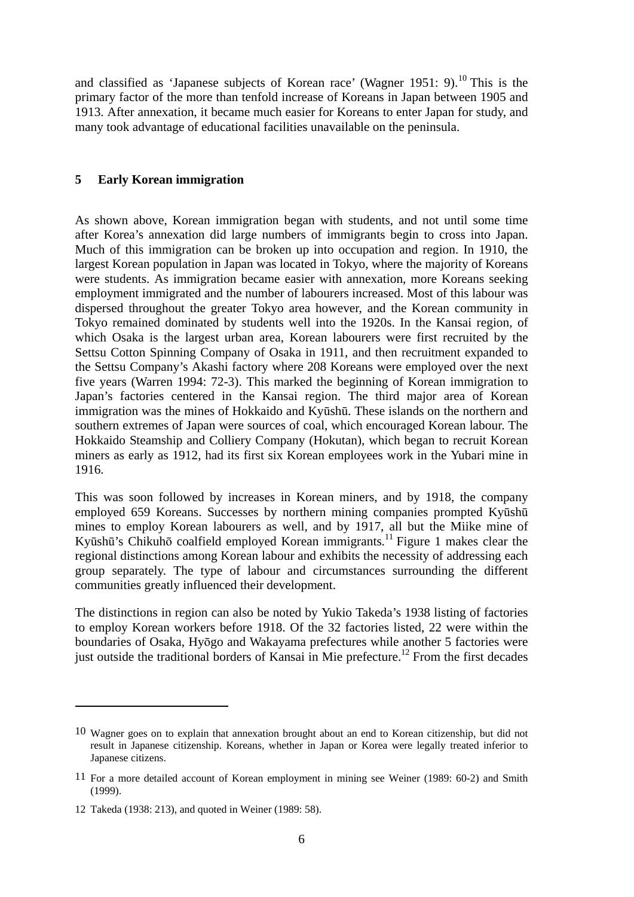and classified as 'Japanese subjects of Korean race' (Wagner 1951: 9).<sup>10</sup> This is the primary factor of the more than tenfold increase of Koreans in Japan between 1905 and 1913. After annexation, it became much easier for Koreans to enter Japan for study, and many took advantage of educational facilities unavailable on the peninsula.

#### **5 Early Korean immigration**

As shown above, Korean immigration began with students, and not until some time after Korea's annexation did large numbers of immigrants begin to cross into Japan. Much of this immigration can be broken up into occupation and region. In 1910, the largest Korean population in Japan was located in Tokyo, where the majority of Koreans were students. As immigration became easier with annexation, more Koreans seeking employment immigrated and the number of labourers increased. Most of this labour was dispersed throughout the greater Tokyo area however, and the Korean community in Tokyo remained dominated by students well into the 1920s. In the Kansai region, of which Osaka is the largest urban area, Korean labourers were first recruited by the Settsu Cotton Spinning Company of Osaka in 1911, and then recruitment expanded to the Settsu Company's Akashi factory where 208 Koreans were employed over the next five years (Warren 1994: 72-3). This marked the beginning of Korean immigration to Japan's factories centered in the Kansai region. The third major area of Korean immigration was the mines of Hokkaido and Kyūshū. These islands on the northern and southern extremes of Japan were sources of coal, which encouraged Korean labour. The Hokkaido Steamship and Colliery Company (Hokutan), which began to recruit Korean miners as early as 1912, had its first six Korean employees work in the Yubari mine in 1916.

This was soon followed by increases in Korean miners, and by 1918, the company employed 659 Koreans. Successes by northern mining companies prompted Kyūshū mines to employ Korean labourers as well, and by 1917, all but the Miike mine of Kyūshū's Chikuhō coalfield employed Korean immigrants.<sup>11</sup> Figure 1 makes clear the regional distinctions among Korean labour and exhibits the necessity of addressing each group separately. The type of labour and circumstances surrounding the different communities greatly influenced their development.

The distinctions in region can also be noted by Yukio Takeda's 1938 listing of factories to employ Korean workers before 1918. Of the 32 factories listed, 22 were within the boundaries of Osaka, Hyōgo and Wakayama prefectures while another 5 factories were just outside the traditional borders of Kansai in Mie prefecture.<sup>12</sup> From the first decades

 $\overline{a}$ 

<sup>10</sup> Wagner goes on to explain that annexation brought about an end to Korean citizenship, but did not result in Japanese citizenship. Koreans, whether in Japan or Korea were legally treated inferior to Japanese citizens.

<sup>11</sup> For a more detailed account of Korean employment in mining see Weiner (1989: 60-2) and Smith (1999).

<sup>12</sup> Takeda (1938: 213), and quoted in Weiner (1989: 58).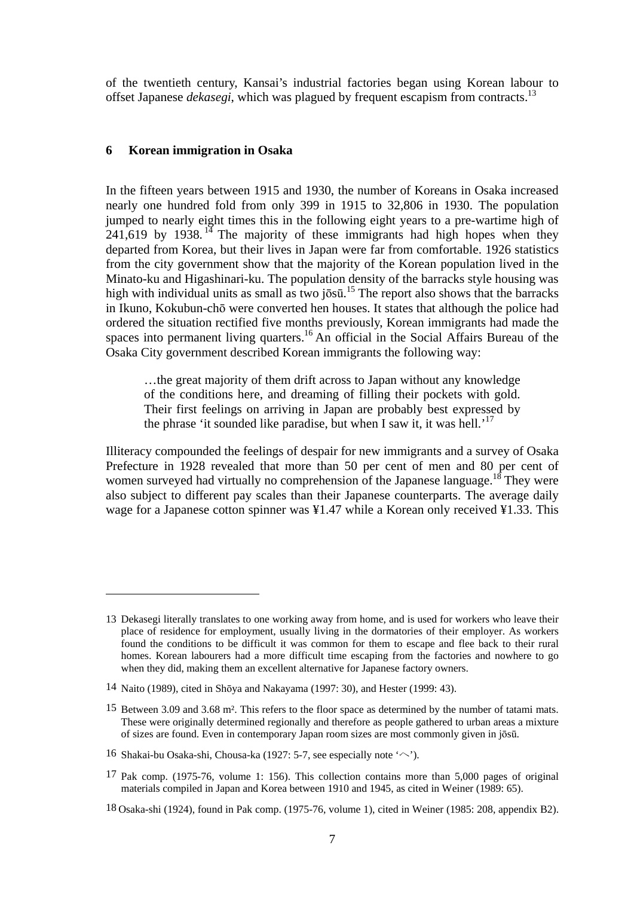of the twentieth century, Kansai's industrial factories began using Korean labour to offset Japanese *dekasegi*, which was plagued by frequent escapism from contracts.13

#### **6 Korean immigration in Osaka**

1

In the fifteen years between 1915 and 1930, the number of Koreans in Osaka increased nearly one hundred fold from only 399 in 1915 to 32,806 in 1930. The population jumped to nearly eight times this in the following eight years to a pre-wartime high of  $241,619$  by 1938.<sup>14</sup> The majority of these immigrants had high hopes when they departed from Korea, but their lives in Japan were far from comfortable. 1926 statistics from the city government show that the majority of the Korean population lived in the Minato-ku and Higashinari-ku. The population density of the barracks style housing was high with individual units as small as two josū.<sup>15</sup> The report also shows that the barracks in Ikuno, Kokubun-chō were converted hen houses. It states that although the police had ordered the situation rectified five months previously, Korean immigrants had made the spaces into permanent living quarters.<sup>16</sup> An official in the Social Affairs Bureau of the Osaka City government described Korean immigrants the following way:

…the great majority of them drift across to Japan without any knowledge of the conditions here, and dreaming of filling their pockets with gold. Their first feelings on arriving in Japan are probably best expressed by the phrase 'it sounded like paradise, but when I saw it, it was hell.<sup>'17</sup>

Illiteracy compounded the feelings of despair for new immigrants and a survey of Osaka Prefecture in 1928 revealed that more than 50 per cent of men and 80 per cent of women surveyed had virtually no comprehension of the Japanese language.<sup>18</sup> They were also subject to different pay scales than their Japanese counterparts. The average daily wage for a Japanese cotton spinner was ¥1.47 while a Korean only received ¥1.33. This

<sup>13</sup> Dekasegi literally translates to one working away from home, and is used for workers who leave their place of residence for employment, usually living in the dormatories of their employer. As workers found the conditions to be difficult it was common for them to escape and flee back to their rural homes. Korean labourers had a more difficult time escaping from the factories and nowhere to go when they did, making them an excellent alternative for Japanese factory owners.

<sup>14</sup> Naito (1989), cited in Shōya and Nakayama (1997: 30), and Hester (1999: 43).

<sup>15</sup> Between 3.09 and 3.68 m². This refers to the floor space as determined by the number of tatami mats. These were originally determined regionally and therefore as people gathered to urban areas a mixture of sizes are found. Even in contemporary Japan room sizes are most commonly given in jōsū.

<sup>16</sup> Shakai-bu Osaka-shi, Chousa-ka (1927: 5-7, see especially note 'ヘ').

<sup>17</sup> Pak comp. (1975-76, volume 1: 156). This collection contains more than 5,000 pages of original materials compiled in Japan and Korea between 1910 and 1945, as cited in Weiner (1989: 65).

<sup>18</sup> Osaka-shi (1924), found in Pak comp. (1975-76, volume 1), cited in Weiner (1985: 208, appendix B2).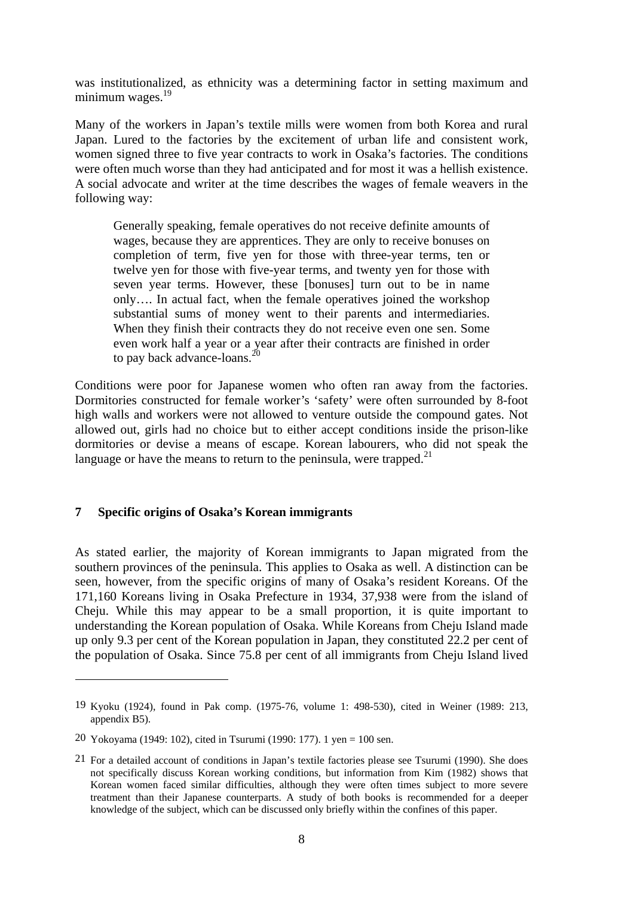was institutionalized, as ethnicity was a determining factor in setting maximum and minimum wages. $19$ 

Many of the workers in Japan's textile mills were women from both Korea and rural Japan. Lured to the factories by the excitement of urban life and consistent work, women signed three to five year contracts to work in Osaka's factories. The conditions were often much worse than they had anticipated and for most it was a hellish existence. A social advocate and writer at the time describes the wages of female weavers in the following way:

Generally speaking, female operatives do not receive definite amounts of wages, because they are apprentices. They are only to receive bonuses on completion of term, five yen for those with three-year terms, ten or twelve yen for those with five-year terms, and twenty yen for those with seven year terms. However, these [bonuses] turn out to be in name only…. In actual fact, when the female operatives joined the workshop substantial sums of money went to their parents and intermediaries. When they finish their contracts they do not receive even one sen. Some even work half a year or a year after their contracts are finished in order to pay back advance-loans.<sup>20</sup>

Conditions were poor for Japanese women who often ran away from the factories. Dormitories constructed for female worker's 'safety' were often surrounded by 8-foot high walls and workers were not allowed to venture outside the compound gates. Not allowed out, girls had no choice but to either accept conditions inside the prison-like dormitories or devise a means of escape. Korean labourers, who did not speak the language or have the means to return to the peninsula, were trapped. $2<sup>1</sup>$ 

#### **7 Specific origins of Osaka's Korean immigrants**

As stated earlier, the majority of Korean immigrants to Japan migrated from the southern provinces of the peninsula. This applies to Osaka as well. A distinction can be seen, however, from the specific origins of many of Osaka's resident Koreans. Of the 171,160 Koreans living in Osaka Prefecture in 1934, 37,938 were from the island of Cheju. While this may appear to be a small proportion, it is quite important to understanding the Korean population of Osaka. While Koreans from Cheju Island made up only 9.3 per cent of the Korean population in Japan, they constituted 22.2 per cent of the population of Osaka. Since 75.8 per cent of all immigrants from Cheju Island lived

 $\overline{a}$ 

<sup>19</sup> Kyoku (1924), found in Pak comp. (1975-76, volume 1: 498-530), cited in Weiner (1989: 213, appendix B5).

<sup>20</sup> Yokoyama (1949: 102), cited in Tsurumi (1990: 177). 1 yen = 100 sen.

<sup>21</sup> For a detailed account of conditions in Japan's textile factories please see Tsurumi (1990). She does not specifically discuss Korean working conditions, but information from Kim (1982) shows that Korean women faced similar difficulties, although they were often times subject to more severe treatment than their Japanese counterparts. A study of both books is recommended for a deeper knowledge of the subject, which can be discussed only briefly within the confines of this paper.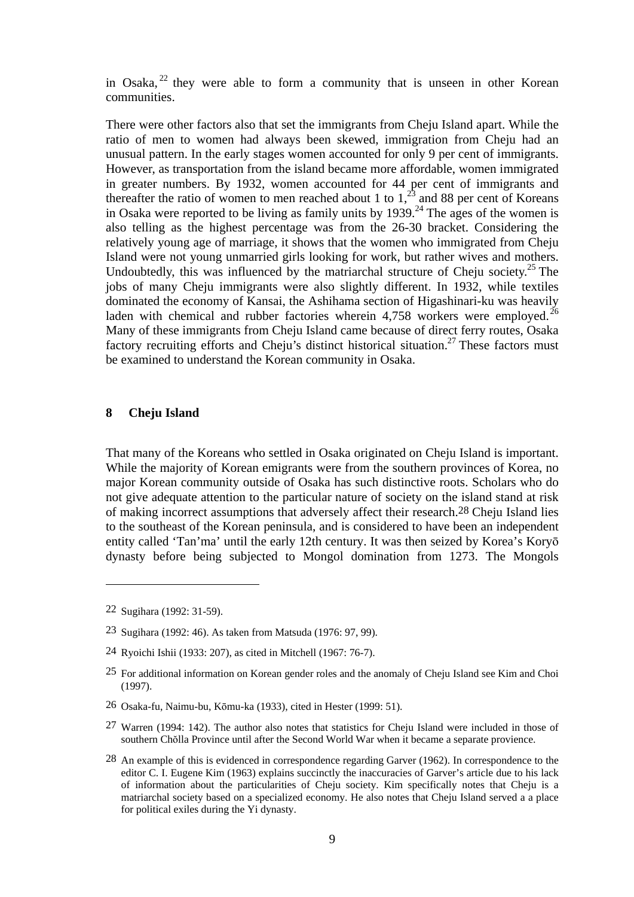in Osaka,  $2^2$  they were able to form a community that is unseen in other Korean communities.

There were other factors also that set the immigrants from Cheju Island apart. While the ratio of men to women had always been skewed, immigration from Cheju had an unusual pattern. In the early stages women accounted for only 9 per cent of immigrants. However, as transportation from the island became more affordable, women immigrated in greater numbers. By 1932, women accounted for 44 per cent of immigrants and thereafter the ratio of women to men reached about 1 to  $1,^{23}$  and 88 per cent of Koreans in Osaka were reported to be living as family units by  $1939$ .<sup>24</sup> The ages of the women is also telling as the highest percentage was from the 26-30 bracket. Considering the relatively young age of marriage, it shows that the women who immigrated from Cheju Island were not young unmarried girls looking for work, but rather wives and mothers. Undoubtedly, this was influenced by the matriarchal structure of Cheju society.<sup>25</sup> The jobs of many Cheju immigrants were also slightly different. In 1932, while textiles dominated the economy of Kansai, the Ashihama section of Higashinari-ku was heavily laden with chemical and rubber factories wherein  $4,758$  workers were employed.<sup>26</sup> Many of these immigrants from Cheju Island came because of direct ferry routes, Osaka factory recruiting efforts and Cheju's distinct historical situation.<sup>27</sup> These factors must be examined to understand the Korean community in Osaka.

#### **8 Cheju Island**

That many of the Koreans who settled in Osaka originated on Cheju Island is important. While the majority of Korean emigrants were from the southern provinces of Korea, no major Korean community outside of Osaka has such distinctive roots. Scholars who do not give adequate attention to the particular nature of society on the island stand at risk of making incorrect assumptions that adversely affect their research.28 Cheju Island lies to the southeast of the Korean peninsula, and is considered to have been an independent entity called 'Tan'ma' until the early 12th century. It was then seized by Korea's Koryō dynasty before being subjected to Mongol domination from 1273. The Mongols

1

- 24 Ryoichi Ishii (1933: 207), as cited in Mitchell (1967: 76-7).
- 25 For additional information on Korean gender roles and the anomaly of Cheju Island see Kim and Choi (1997).
- 26 Osaka-fu, Naimu-bu, Kōmu-ka (1933), cited in Hester (1999: 51).
- 27 Warren (1994: 142). The author also notes that statistics for Cheju Island were included in those of southern Chŏlla Province until after the Second World War when it became a separate provience.
- 28 An example of this is evidenced in correspondence regarding Garver (1962). In correspondence to the editor C. I. Eugene Kim (1963) explains succinctly the inaccuracies of Garver's article due to his lack of information about the particularities of Cheju society. Kim specifically notes that Cheju is a matriarchal society based on a specialized economy. He also notes that Cheju Island served a a place for political exiles during the Yi dynasty.

<sup>22</sup> Sugihara (1992: 31-59).

<sup>23</sup> Sugihara (1992: 46). As taken from Matsuda (1976: 97, 99).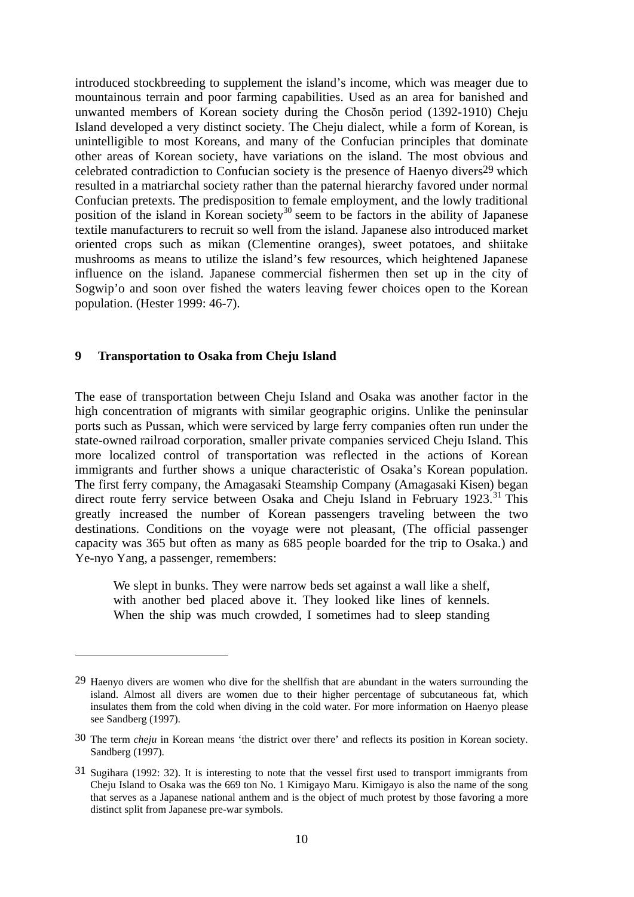introduced stockbreeding to supplement the island's income, which was meager due to mountainous terrain and poor farming capabilities. Used as an area for banished and unwanted members of Korean society during the Chosŏn period (1392-1910) Cheju Island developed a very distinct society. The Cheju dialect, while a form of Korean, is unintelligible to most Koreans, and many of the Confucian principles that dominate other areas of Korean society, have variations on the island. The most obvious and celebrated contradiction to Confucian society is the presence of Haenyo divers29 which resulted in a matriarchal society rather than the paternal hierarchy favored under normal Confucian pretexts. The predisposition to female employment, and the lowly traditional position of the island in Korean society<sup>30</sup> seem to be factors in the ability of Japanese textile manufacturers to recruit so well from the island. Japanese also introduced market oriented crops such as mikan (Clementine oranges), sweet potatoes, and shiitake mushrooms as means to utilize the island's few resources, which heightened Japanese influence on the island. Japanese commercial fishermen then set up in the city of Sogwip'o and soon over fished the waters leaving fewer choices open to the Korean population. (Hester 1999: 46-7).

#### **9 Transportation to Osaka from Cheju Island**

 $\overline{a}$ 

The ease of transportation between Cheju Island and Osaka was another factor in the high concentration of migrants with similar geographic origins. Unlike the peninsular ports such as Pussan, which were serviced by large ferry companies often run under the state-owned railroad corporation, smaller private companies serviced Cheju Island. This more localized control of transportation was reflected in the actions of Korean immigrants and further shows a unique characteristic of Osaka's Korean population. The first ferry company, the Amagasaki Steamship Company (Amagasaki Kisen) began direct route ferry service between Osaka and Cheju Island in February 1923.<sup>31</sup> This greatly increased the number of Korean passengers traveling between the two destinations. Conditions on the voyage were not pleasant, (The official passenger capacity was 365 but often as many as 685 people boarded for the trip to Osaka.) and Ye-nyo Yang, a passenger, remembers:

We slept in bunks. They were narrow beds set against a wall like a shelf, with another bed placed above it. They looked like lines of kennels. When the ship was much crowded, I sometimes had to sleep standing

<sup>29</sup> Haenyo divers are women who dive for the shellfish that are abundant in the waters surrounding the island. Almost all divers are women due to their higher percentage of subcutaneous fat, which insulates them from the cold when diving in the cold water. For more information on Haenyo please see Sandberg (1997).

<sup>30</sup> The term *cheju* in Korean means 'the district over there' and reflects its position in Korean society. Sandberg (1997).

<sup>31</sup> Sugihara (1992: 32). It is interesting to note that the vessel first used to transport immigrants from Cheju Island to Osaka was the 669 ton No. 1 Kimigayo Maru. Kimigayo is also the name of the song that serves as a Japanese national anthem and is the object of much protest by those favoring a more distinct split from Japanese pre-war symbols.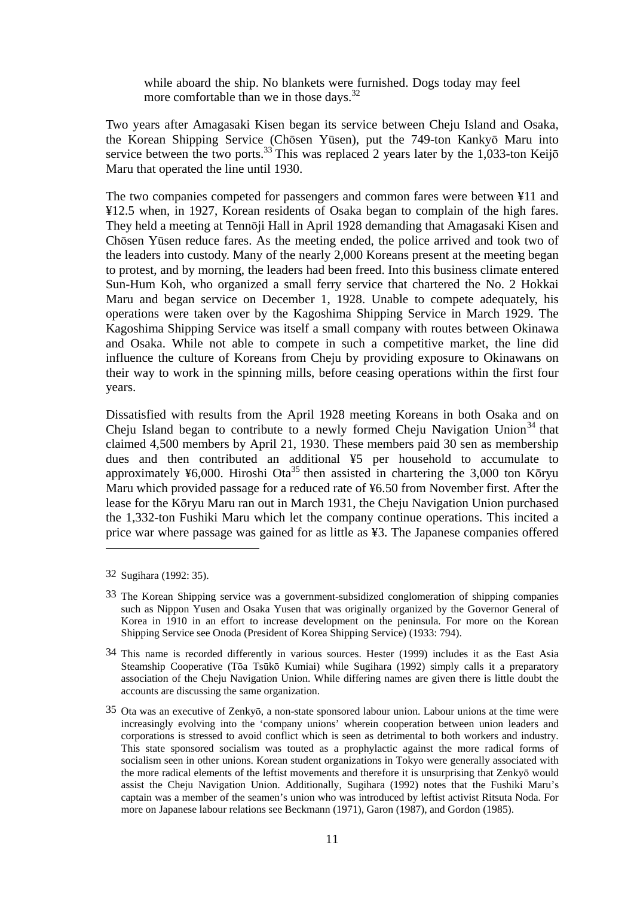while aboard the ship. No blankets were furnished. Dogs today may feel more comfortable than we in those days.<sup>32</sup>

Two years after Amagasaki Kisen began its service between Cheju Island and Osaka, the Korean Shipping Service (Chōsen Yūsen), put the 749-ton Kankyō Maru into service between the two ports.<sup>33</sup> This was replaced 2 years later by the 1,033-ton Keijō Maru that operated the line until 1930.

The two companies competed for passengers and common fares were between ¥11 and ¥12.5 when, in 1927, Korean residents of Osaka began to complain of the high fares. They held a meeting at Tennōji Hall in April 1928 demanding that Amagasaki Kisen and Chōsen Yūsen reduce fares. As the meeting ended, the police arrived and took two of the leaders into custody. Many of the nearly 2,000 Koreans present at the meeting began to protest, and by morning, the leaders had been freed. Into this business climate entered Sun-Hum Koh, who organized a small ferry service that chartered the No. 2 Hokkai Maru and began service on December 1, 1928. Unable to compete adequately, his operations were taken over by the Kagoshima Shipping Service in March 1929. The Kagoshima Shipping Service was itself a small company with routes between Okinawa and Osaka. While not able to compete in such a competitive market, the line did influence the culture of Koreans from Cheju by providing exposure to Okinawans on their way to work in the spinning mills, before ceasing operations within the first four years.

Dissatisfied with results from the April 1928 meeting Koreans in both Osaka and on Cheju Island began to contribute to a newly formed Cheju Navigation Union<sup>34</sup> that claimed 4,500 members by April 21, 1930. These members paid 30 sen as membership dues and then contributed an additional ¥5 per household to accumulate to approximately ¥6,000. Hiroshi Ota<sup>35</sup> then assisted in chartering the 3,000 ton Kōryu Maru which provided passage for a reduced rate of ¥6.50 from November first. After the lease for the Kōryu Maru ran out in March 1931, the Cheju Navigation Union purchased the 1,332-ton Fushiki Maru which let the company continue operations. This incited a price war where passage was gained for as little as ¥3. The Japanese companies offered

1

<sup>32</sup> Sugihara (1992: 35).

<sup>33</sup> The Korean Shipping service was a government-subsidized conglomeration of shipping companies such as Nippon Yusen and Osaka Yusen that was originally organized by the Governor General of Korea in 1910 in an effort to increase development on the peninsula. For more on the Korean Shipping Service see Onoda (President of Korea Shipping Service) (1933: 794).

<sup>34</sup> This name is recorded differently in various sources. Hester (1999) includes it as the East Asia Steamship Cooperative (Tōa Tsūkō Kumiai) while Sugihara (1992) simply calls it a preparatory association of the Cheju Navigation Union. While differing names are given there is little doubt the accounts are discussing the same organization.

<sup>35</sup> Ota was an executive of Zenkyō, a non-state sponsored labour union. Labour unions at the time were increasingly evolving into the 'company unions' wherein cooperation between union leaders and corporations is stressed to avoid conflict which is seen as detrimental to both workers and industry. This state sponsored socialism was touted as a prophylactic against the more radical forms of socialism seen in other unions. Korean student organizations in Tokyo were generally associated with the more radical elements of the leftist movements and therefore it is unsurprising that Zenkyō would assist the Cheju Navigation Union. Additionally, Sugihara (1992) notes that the Fushiki Maru's captain was a member of the seamen's union who was introduced by leftist activist Ritsuta Noda. For more on Japanese labour relations see Beckmann (1971), Garon (1987), and Gordon (1985).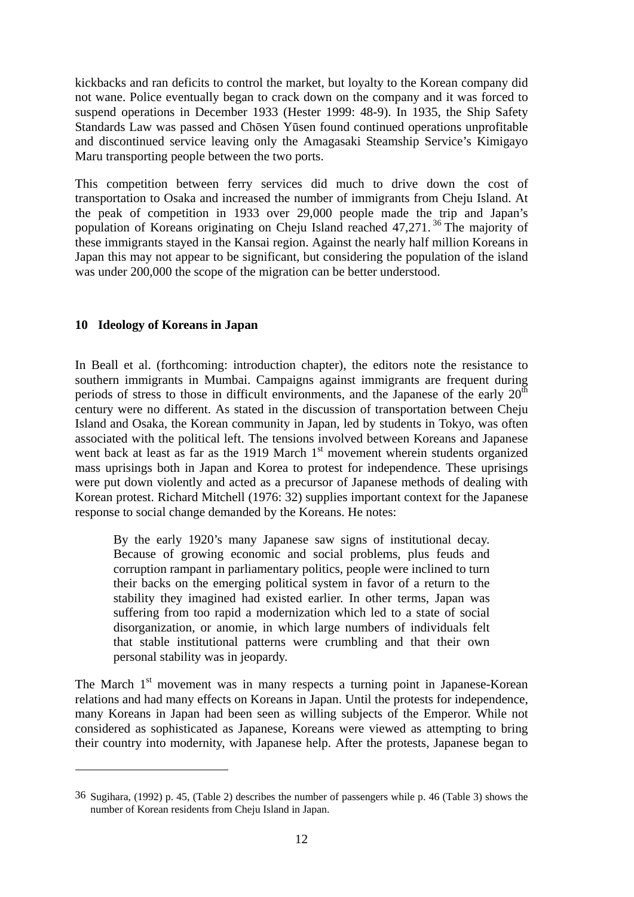kickbacks and ran deficits to control the market, but loyalty to the Korean company did not wane. Police eventually began to crack down on the company and it was forced to suspend operations in December 1933 (Hester 1999: 48-9). In 1935, the Ship Safety Standards Law was passed and Chōsen Yūsen found continued operations unprofitable and discontinued service leaving only the Amagasaki Steamship Service's Kimigayo Maru transporting people between the two ports.

This competition between ferry services did much to drive down the cost of transportation to Osaka and increased the number of immigrants from Cheju Island. At the peak of competition in 1933 over 29,000 people made the trip and Japan's population of Koreans originating on Cheju Island reached 47,271. 36 The majority of these immigrants stayed in the Kansai region. Against the nearly half million Koreans in Japan this may not appear to be significant, but considering the population of the island was under 200,000 the scope of the migration can be better understood.

# **10 Ideology of Koreans in Japan**

 $\overline{a}$ 

In Beall et al. (forthcoming: introduction chapter), the editors note the resistance to southern immigrants in Mumbai. Campaigns against immigrants are frequent during periods of stress to those in difficult environments, and the Japanese of the early  $20<sup>th</sup>$ century were no different. As stated in the discussion of transportation between Cheju Island and Osaka, the Korean community in Japan, led by students in Tokyo, was often associated with the political left. The tensions involved between Koreans and Japanese went back at least as far as the 1919 March  $1<sup>st</sup>$  movement wherein students organized mass uprisings both in Japan and Korea to protest for independence. These uprisings were put down violently and acted as a precursor of Japanese methods of dealing with Korean protest. Richard Mitchell (1976: 32) supplies important context for the Japanese response to social change demanded by the Koreans. He notes:

By the early 1920's many Japanese saw signs of institutional decay. Because of growing economic and social problems, plus feuds and corruption rampant in parliamentary politics, people were inclined to turn their backs on the emerging political system in favor of a return to the stability they imagined had existed earlier. In other terms, Japan was suffering from too rapid a modernization which led to a state of social disorganization, or anomie, in which large numbers of individuals felt that stable institutional patterns were crumbling and that their own personal stability was in jeopardy.

The March  $1<sup>st</sup>$  movement was in many respects a turning point in Japanese-Korean relations and had many effects on Koreans in Japan. Until the protests for independence, many Koreans in Japan had been seen as willing subjects of the Emperor. While not considered as sophisticated as Japanese, Koreans were viewed as attempting to bring their country into modernity, with Japanese help. After the protests, Japanese began to

<sup>36</sup> Sugihara, (1992) p. 45, (Table 2) describes the number of passengers while p. 46 (Table 3) shows the number of Korean residents from Cheju Island in Japan.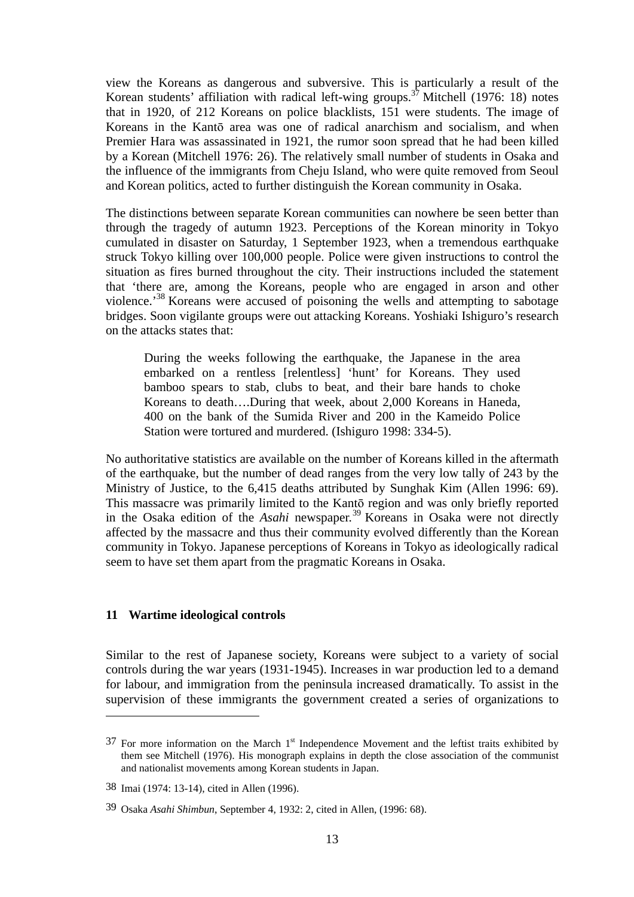view the Koreans as dangerous and subversive. This is particularly a result of the Korean students' affiliation with radical left-wing groups.<sup>37</sup> Mitchell (1976: 18) notes that in 1920, of 212 Koreans on police blacklists, 151 were students. The image of Koreans in the Kantō area was one of radical anarchism and socialism, and when Premier Hara was assassinated in 1921, the rumor soon spread that he had been killed by a Korean (Mitchell 1976: 26). The relatively small number of students in Osaka and the influence of the immigrants from Cheju Island, who were quite removed from Seoul and Korean politics, acted to further distinguish the Korean community in Osaka.

The distinctions between separate Korean communities can nowhere be seen better than through the tragedy of autumn 1923. Perceptions of the Korean minority in Tokyo cumulated in disaster on Saturday, 1 September 1923, when a tremendous earthquake struck Tokyo killing over 100,000 people. Police were given instructions to control the situation as fires burned throughout the city. Their instructions included the statement that 'there are, among the Koreans, people who are engaged in arson and other violence.'38 Koreans were accused of poisoning the wells and attempting to sabotage bridges. Soon vigilante groups were out attacking Koreans. Yoshiaki Ishiguro's research on the attacks states that:

During the weeks following the earthquake, the Japanese in the area embarked on a rentless [relentless] 'hunt' for Koreans. They used bamboo spears to stab, clubs to beat, and their bare hands to choke Koreans to death….During that week, about 2,000 Koreans in Haneda, 400 on the bank of the Sumida River and 200 in the Kameido Police Station were tortured and murdered. (Ishiguro 1998: 334-5).

No authoritative statistics are available on the number of Koreans killed in the aftermath of the earthquake, but the number of dead ranges from the very low tally of 243 by the Ministry of Justice, to the 6,415 deaths attributed by Sunghak Kim (Allen 1996: 69). This massacre was primarily limited to the Kantō region and was only briefly reported in the Osaka edition of the *Asahi* newspaper.<sup>39</sup> Koreans in Osaka were not directly affected by the massacre and thus their community evolved differently than the Korean community in Tokyo. Japanese perceptions of Koreans in Tokyo as ideologically radical seem to have set them apart from the pragmatic Koreans in Osaka.

#### **11 Wartime ideological controls**

1

Similar to the rest of Japanese society, Koreans were subject to a variety of social controls during the war years (1931-1945). Increases in war production led to a demand for labour, and immigration from the peninsula increased dramatically. To assist in the supervision of these immigrants the government created a series of organizations to

 $37$  For more information on the March  $1<sup>st</sup>$  Independence Movement and the leftist traits exhibited by them see Mitchell (1976). His monograph explains in depth the close association of the communist and nationalist movements among Korean students in Japan.

<sup>38</sup> Imai (1974: 13-14), cited in Allen (1996).

<sup>39</sup> Osaka *Asahi Shimbun*, September 4, 1932: 2, cited in Allen, (1996: 68).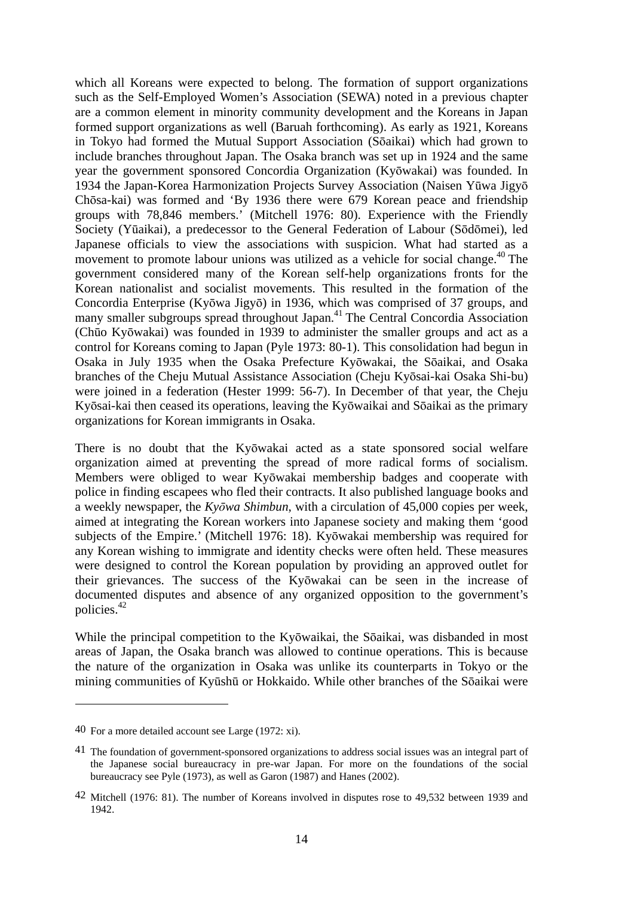which all Koreans were expected to belong. The formation of support organizations such as the Self-Employed Women's Association (SEWA) noted in a previous chapter are a common element in minority community development and the Koreans in Japan formed support organizations as well (Baruah forthcoming). As early as 1921, Koreans in Tokyo had formed the Mutual Support Association (Sōaikai) which had grown to include branches throughout Japan. The Osaka branch was set up in 1924 and the same year the government sponsored Concordia Organization (Kyōwakai) was founded. In 1934 the Japan-Korea Harmonization Projects Survey Association (Naisen Yūwa Jigyō Chōsa-kai) was formed and 'By 1936 there were 679 Korean peace and friendship groups with 78,846 members.' (Mitchell 1976: 80). Experience with the Friendly Society (Yūaikai), a predecessor to the General Federation of Labour (Sōdōmei), led Japanese officials to view the associations with suspicion. What had started as a movement to promote labour unions was utilized as a vehicle for social change.<sup> $40$ </sup> The government considered many of the Korean self-help organizations fronts for the Korean nationalist and socialist movements. This resulted in the formation of the Concordia Enterprise (Kyōwa Jigyō) in 1936, which was comprised of 37 groups, and many smaller subgroups spread throughout Japan.<sup>41</sup> The Central Concordia Association (Chūo Kyōwakai) was founded in 1939 to administer the smaller groups and act as a control for Koreans coming to Japan (Pyle 1973: 80-1). This consolidation had begun in Osaka in July 1935 when the Osaka Prefecture Kyōwakai, the Sōaikai, and Osaka branches of the Cheju Mutual Assistance Association (Cheju Kyōsai-kai Osaka Shi-bu) were joined in a federation (Hester 1999: 56-7). In December of that year, the Cheju Kyōsai-kai then ceased its operations, leaving the Kyōwaikai and Sōaikai as the primary organizations for Korean immigrants in Osaka.

There is no doubt that the Kyōwakai acted as a state sponsored social welfare organization aimed at preventing the spread of more radical forms of socialism. Members were obliged to wear Kyōwakai membership badges and cooperate with police in finding escapees who fled their contracts. It also published language books and a weekly newspaper, the *Kyōwa Shimbun*, with a circulation of 45,000 copies per week, aimed at integrating the Korean workers into Japanese society and making them 'good subjects of the Empire.' (Mitchell 1976: 18). Kyōwakai membership was required for any Korean wishing to immigrate and identity checks were often held. These measures were designed to control the Korean population by providing an approved outlet for their grievances. The success of the Kyōwakai can be seen in the increase of documented disputes and absence of any organized opposition to the government's policies.42

While the principal competition to the Kyōwaikai, the Sōaikai, was disbanded in most areas of Japan, the Osaka branch was allowed to continue operations. This is because the nature of the organization in Osaka was unlike its counterparts in Tokyo or the mining communities of Kyūshū or Hokkaido. While other branches of the Sōaikai were

 $\overline{a}$ 

<sup>40</sup> For a more detailed account see Large (1972: xi).

<sup>41</sup> The foundation of government-sponsored organizations to address social issues was an integral part of the Japanese social bureaucracy in pre-war Japan. For more on the foundations of the social bureaucracy see Pyle (1973), as well as Garon (1987) and Hanes (2002).

<sup>42</sup> Mitchell (1976: 81). The number of Koreans involved in disputes rose to 49,532 between 1939 and 1942.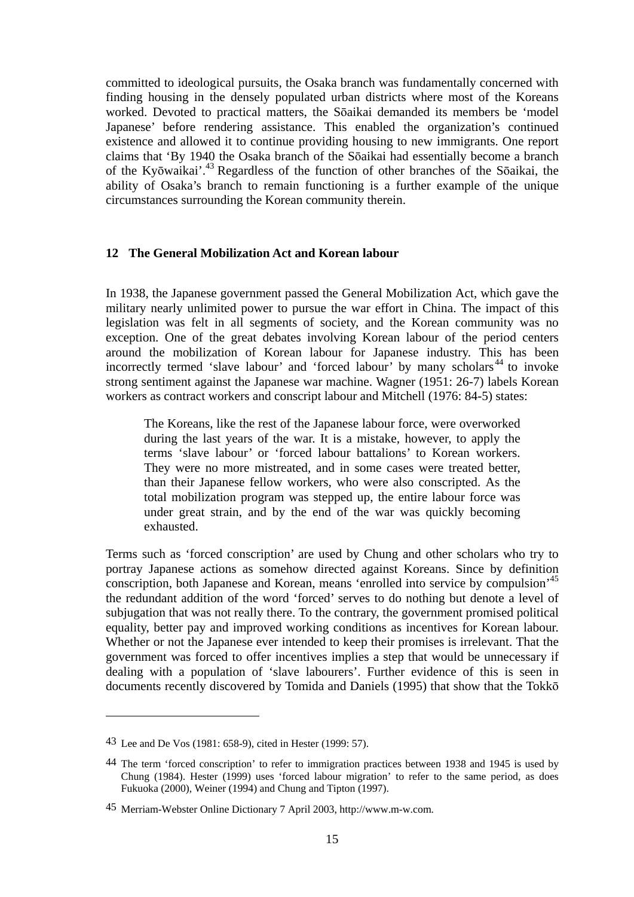committed to ideological pursuits, the Osaka branch was fundamentally concerned with finding housing in the densely populated urban districts where most of the Koreans worked. Devoted to practical matters, the Sōaikai demanded its members be 'model Japanese' before rendering assistance. This enabled the organization's continued existence and allowed it to continue providing housing to new immigrants. One report claims that 'By 1940 the Osaka branch of the Sōaikai had essentially become a branch of the Kyōwaikai'.43 Regardless of the function of other branches of the Sōaikai, the ability of Osaka's branch to remain functioning is a further example of the unique circumstances surrounding the Korean community therein.

#### **12 The General Mobilization Act and Korean labour**

In 1938, the Japanese government passed the General Mobilization Act, which gave the military nearly unlimited power to pursue the war effort in China. The impact of this legislation was felt in all segments of society, and the Korean community was no exception. One of the great debates involving Korean labour of the period centers around the mobilization of Korean labour for Japanese industry. This has been incorrectly termed 'slave labour' and 'forced labour' by many scholars<sup>44</sup> to invoke strong sentiment against the Japanese war machine. Wagner (1951: 26-7) labels Korean workers as contract workers and conscript labour and Mitchell (1976: 84-5) states:

The Koreans, like the rest of the Japanese labour force, were overworked during the last years of the war. It is a mistake, however, to apply the terms 'slave labour' or 'forced labour battalions' to Korean workers. They were no more mistreated, and in some cases were treated better, than their Japanese fellow workers, who were also conscripted. As the total mobilization program was stepped up, the entire labour force was under great strain, and by the end of the war was quickly becoming exhausted.

Terms such as 'forced conscription' are used by Chung and other scholars who try to portray Japanese actions as somehow directed against Koreans. Since by definition conscription, both Japanese and Korean, means 'enrolled into service by compulsion'45 the redundant addition of the word 'forced' serves to do nothing but denote a level of subjugation that was not really there. To the contrary, the government promised political equality, better pay and improved working conditions as incentives for Korean labour. Whether or not the Japanese ever intended to keep their promises is irrelevant. That the government was forced to offer incentives implies a step that would be unnecessary if dealing with a population of 'slave labourers'. Further evidence of this is seen in documents recently discovered by Tomida and Daniels (1995) that show that the Tokkō

1

<sup>43</sup> Lee and De Vos (1981: 658-9), cited in Hester (1999: 57).

<sup>44</sup> The term 'forced conscription' to refer to immigration practices between 1938 and 1945 is used by Chung (1984). Hester (1999) uses 'forced labour migration' to refer to the same period, as does Fukuoka (2000), Weiner (1994) and Chung and Tipton (1997).

<sup>45</sup> Merriam-Webster Online Dictionary 7 April 2003, http://www.m-w.com.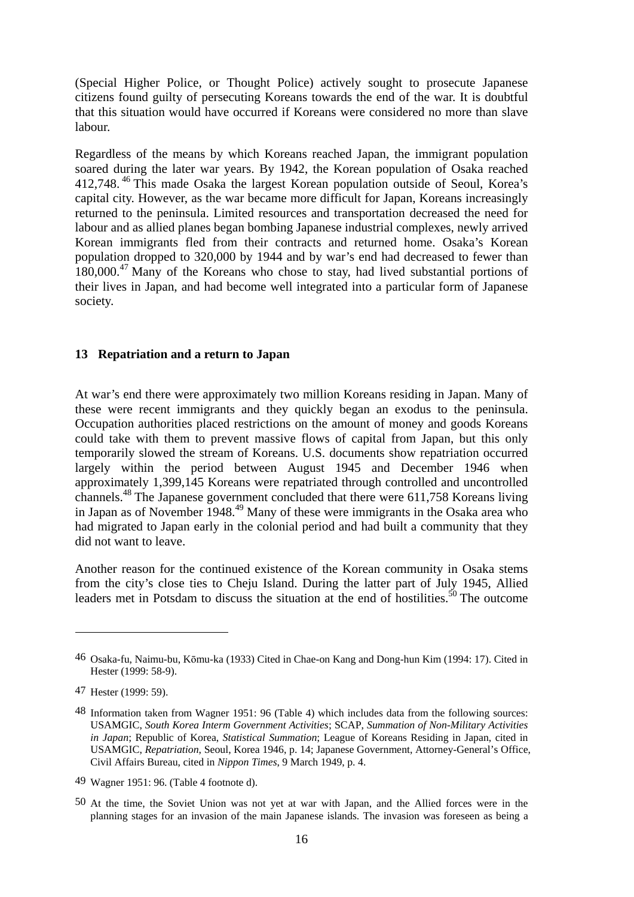(Special Higher Police, or Thought Police) actively sought to prosecute Japanese citizens found guilty of persecuting Koreans towards the end of the war. It is doubtful that this situation would have occurred if Koreans were considered no more than slave labour.

Regardless of the means by which Koreans reached Japan, the immigrant population soared during the later war years. By 1942, the Korean population of Osaka reached 412,748. 46 This made Osaka the largest Korean population outside of Seoul, Korea's capital city. However, as the war became more difficult for Japan, Koreans increasingly returned to the peninsula. Limited resources and transportation decreased the need for labour and as allied planes began bombing Japanese industrial complexes, newly arrived Korean immigrants fled from their contracts and returned home. Osaka's Korean population dropped to 320,000 by 1944 and by war's end had decreased to fewer than  $180,000$ <sup>47</sup> Many of the Koreans who chose to stay, had lived substantial portions of their lives in Japan, and had become well integrated into a particular form of Japanese society.

#### **13 Repatriation and a return to Japan**

At war's end there were approximately two million Koreans residing in Japan. Many of these were recent immigrants and they quickly began an exodus to the peninsula. Occupation authorities placed restrictions on the amount of money and goods Koreans could take with them to prevent massive flows of capital from Japan, but this only temporarily slowed the stream of Koreans. U.S. documents show repatriation occurred largely within the period between August 1945 and December 1946 when approximately 1,399,145 Koreans were repatriated through controlled and uncontrolled channels.48 The Japanese government concluded that there were 611,758 Koreans living in Japan as of November 1948.<sup>49</sup> Many of these were immigrants in the Osaka area who had migrated to Japan early in the colonial period and had built a community that they did not want to leave.

Another reason for the continued existence of the Korean community in Osaka stems from the city's close ties to Cheju Island. During the latter part of July 1945, Allied leaders met in Potsdam to discuss the situation at the end of hostilities.<sup>50</sup> The outcome

 $\overline{\phantom{a}}$ 

49 Wagner 1951: 96. (Table 4 footnote d).

<sup>46</sup> Osaka-fu, Naimu-bu, Kōmu-ka (1933) Cited in Chae-on Kang and Dong-hun Kim (1994: 17). Cited in Hester (1999: 58-9).

<sup>47</sup> Hester (1999: 59).

<sup>48</sup> Information taken from Wagner 1951: 96 (Table 4) which includes data from the following sources: USAMGIC, *South Korea Interm Government Activities*; SCAP, *Summation of Non-Military Activities in Japan*; Republic of Korea, *Statistical Summation*; League of Koreans Residing in Japan, cited in USAMGIC, *Repatriation*, Seoul, Korea 1946, p. 14; Japanese Government, Attorney-General's Office, Civil Affairs Bureau, cited in *Nippon Times*, 9 March 1949, p. 4.

<sup>50</sup> At the time, the Soviet Union was not yet at war with Japan, and the Allied forces were in the planning stages for an invasion of the main Japanese islands. The invasion was foreseen as being a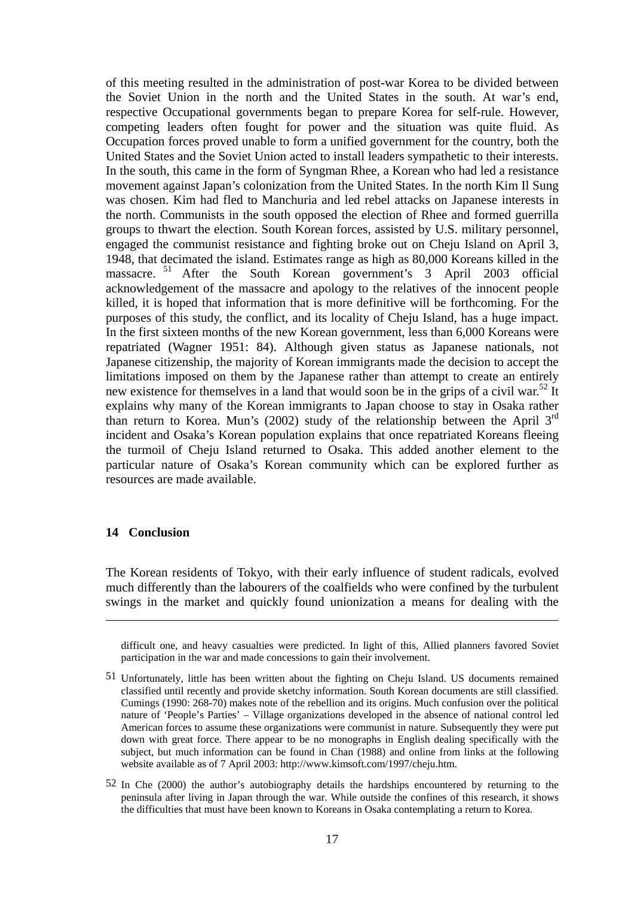of this meeting resulted in the administration of post-war Korea to be divided between the Soviet Union in the north and the United States in the south. At war's end, respective Occupational governments began to prepare Korea for self-rule. However, competing leaders often fought for power and the situation was quite fluid. As Occupation forces proved unable to form a unified government for the country, both the United States and the Soviet Union acted to install leaders sympathetic to their interests. In the south, this came in the form of Syngman Rhee, a Korean who had led a resistance movement against Japan's colonization from the United States. In the north Kim Il Sung was chosen. Kim had fled to Manchuria and led rebel attacks on Japanese interests in the north. Communists in the south opposed the election of Rhee and formed guerrilla groups to thwart the election. South Korean forces, assisted by U.S. military personnel, engaged the communist resistance and fighting broke out on Cheju Island on April 3, 1948, that decimated the island. Estimates range as high as 80,000 Koreans killed in the massacre.<sup>51</sup> After the South Korean government's 3 April 2003 official acknowledgement of the massacre and apology to the relatives of the innocent people killed, it is hoped that information that is more definitive will be forthcoming. For the purposes of this study, the conflict, and its locality of Cheju Island, has a huge impact. In the first sixteen months of the new Korean government, less than 6,000 Koreans were repatriated (Wagner 1951: 84). Although given status as Japanese nationals, not Japanese citizenship, the majority of Korean immigrants made the decision to accept the limitations imposed on them by the Japanese rather than attempt to create an entirely new existence for themselves in a land that would soon be in the grips of a civil war.<sup>52</sup> It explains why many of the Korean immigrants to Japan choose to stay in Osaka rather than return to Korea. Mun's (2002) study of the relationship between the April  $3<sup>rd</sup>$ incident and Osaka's Korean population explains that once repatriated Koreans fleeing the turmoil of Cheju Island returned to Osaka. This added another element to the particular nature of Osaka's Korean community which can be explored further as resources are made available.

#### **14 Conclusion**

1

The Korean residents of Tokyo, with their early influence of student radicals, evolved much differently than the labourers of the coalfields who were confined by the turbulent swings in the market and quickly found unionization a means for dealing with the

difficult one, and heavy casualties were predicted. In light of this, Allied planners favored Soviet participation in the war and made concessions to gain their involvement.

<sup>51</sup> Unfortunately, little has been written about the fighting on Cheju Island. US documents remained classified until recently and provide sketchy information. South Korean documents are still classified. Cumings (1990: 268-70) makes note of the rebellion and its origins. Much confusion over the political nature of 'People's Parties' – Village organizations developed in the absence of national control led American forces to assume these organizations were communist in nature. Subsequently they were put down with great force. There appear to be no monographs in English dealing specifically with the subject, but much information can be found in Chan (1988) and online from links at the following website available as of 7 April 2003: http://www.kimsoft.com/1997/cheju.htm.

<sup>52</sup> In Che (2000) the author's autobiography details the hardships encountered by returning to the peninsula after living in Japan through the war. While outside the confines of this research, it shows the difficulties that must have been known to Koreans in Osaka contemplating a return to Korea.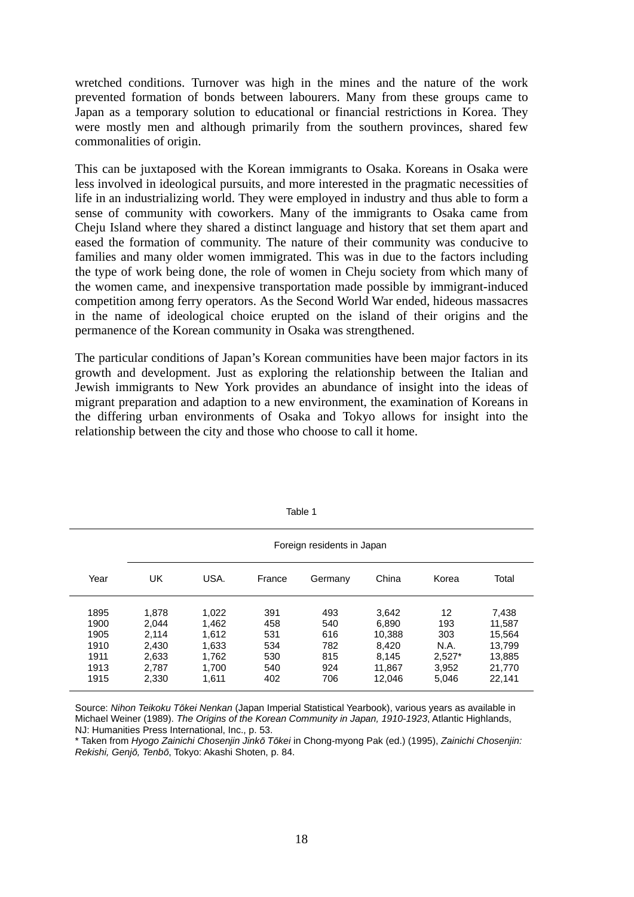wretched conditions. Turnover was high in the mines and the nature of the work prevented formation of bonds between labourers. Many from these groups came to Japan as a temporary solution to educational or financial restrictions in Korea. They were mostly men and although primarily from the southern provinces, shared few commonalities of origin.

This can be juxtaposed with the Korean immigrants to Osaka. Koreans in Osaka were less involved in ideological pursuits, and more interested in the pragmatic necessities of life in an industrializing world. They were employed in industry and thus able to form a sense of community with coworkers. Many of the immigrants to Osaka came from Cheju Island where they shared a distinct language and history that set them apart and eased the formation of community. The nature of their community was conducive to families and many older women immigrated. This was in due to the factors including the type of work being done, the role of women in Cheju society from which many of the women came, and inexpensive transportation made possible by immigrant-induced competition among ferry operators. As the Second World War ended, hideous massacres in the name of ideological choice erupted on the island of their origins and the permanence of the Korean community in Osaka was strengthened.

The particular conditions of Japan's Korean communities have been major factors in its growth and development. Just as exploring the relationship between the Italian and Jewish immigrants to New York provides an abundance of insight into the ideas of migrant preparation and adaption to a new environment, the examination of Koreans in the differing urban environments of Osaka and Tokyo allows for insight into the relationship between the city and those who choose to call it home.

|                                                      | Foreign residents in Japan                                  |                                                             |                                               |                                               |                                                                |                                                        |                                                                   |
|------------------------------------------------------|-------------------------------------------------------------|-------------------------------------------------------------|-----------------------------------------------|-----------------------------------------------|----------------------------------------------------------------|--------------------------------------------------------|-------------------------------------------------------------------|
| Year                                                 | UK                                                          | USA.                                                        | France                                        | Germany                                       | China                                                          | Korea                                                  | Total                                                             |
| 1895<br>1900<br>1905<br>1910<br>1911<br>1913<br>1915 | 1.878<br>2.044<br>2.114<br>2,430<br>2,633<br>2.787<br>2,330 | 1,022<br>1.462<br>1.612<br>1,633<br>1.762<br>1.700<br>1,611 | 391<br>458<br>531<br>534<br>530<br>540<br>402 | 493<br>540<br>616<br>782<br>815<br>924<br>706 | 3,642<br>6.890<br>10.388<br>8.420<br>8.145<br>11.867<br>12,046 | 12<br>193<br>303<br>N.A.<br>$2,527*$<br>3,952<br>5,046 | 7,438<br>11,587<br>15,564<br>13,799<br>13,885<br>21,770<br>22,141 |

Table 1

Source: *Nihon Teikoku Tōkei Nenkan* (Japan Imperial Statistical Yearbook), various years as available in Michael Weiner (1989). *The Origins of the Korean Community in Japan, 1910-1923*, Atlantic Highlands, NJ: Humanities Press International, Inc., p. 53.

\* Taken from *Hyogo Zainichi Chosenjin Jinkō Tōkei* in Chong-myong Pak (ed.) (1995), *Zainichi Chosenjin: Rekishi, Genjō, Tenbō*, Tokyo: Akashi Shoten, p. 84.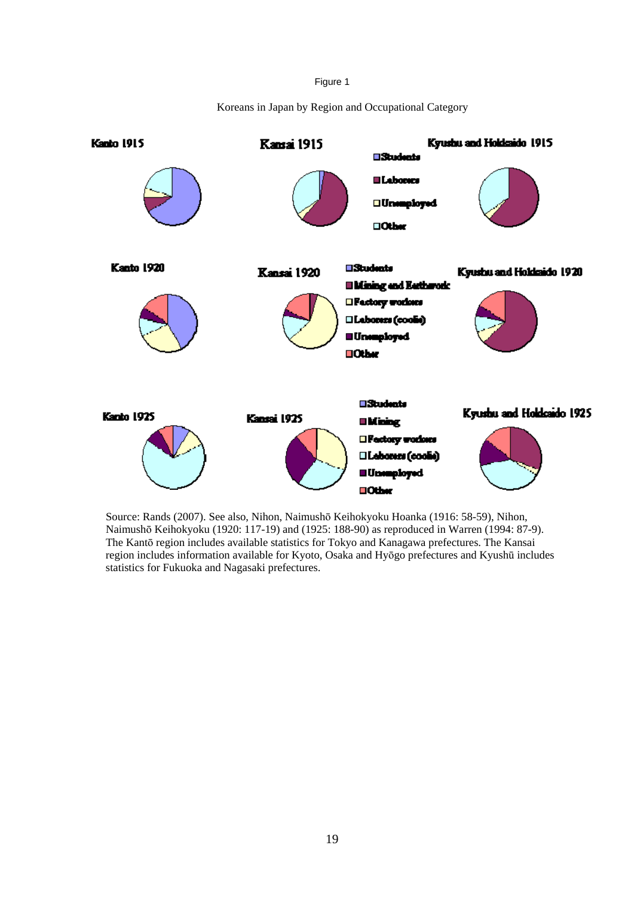Figure 1

Koreans in Japan by Region and Occupational Category



Source: Rands (2007). See also, Nihon, Naimushō Keihokyoku Hoanka (1916: 58-59), Nihon, Naimushō Keihokyoku (1920: 117-19) and (1925: 188-90) as reproduced in Warren (1994: 87-9). The Kantō region includes available statistics for Tokyo and Kanagawa prefectures. The Kansai region includes information available for Kyoto, Osaka and Hyōgo prefectures and Kyushū includes statistics for Fukuoka and Nagasaki prefectures.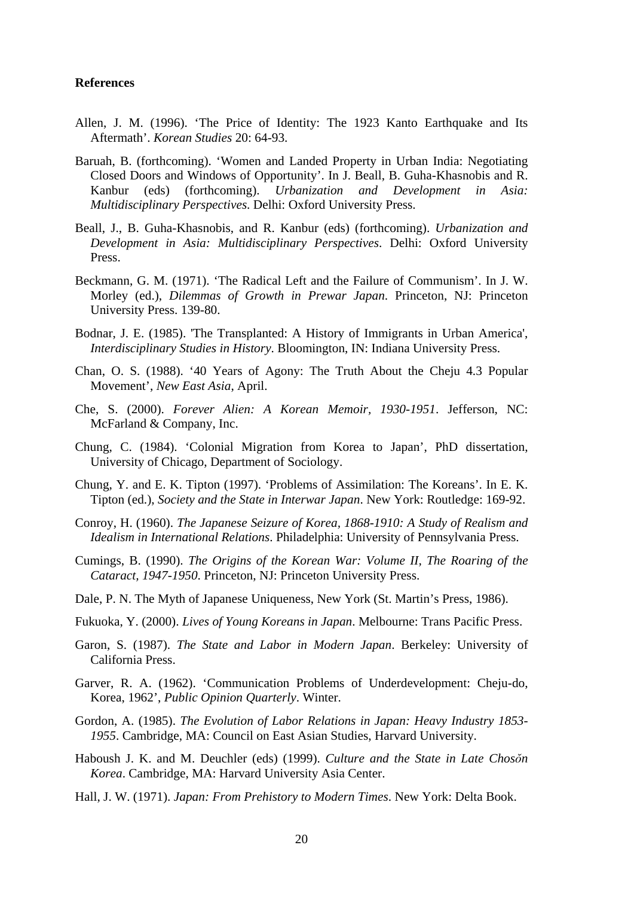#### **References**

- Allen, J. M. (1996). 'The Price of Identity: The 1923 Kanto Earthquake and Its Aftermath'. *Korean Studies* 20: 64-93.
- Baruah, B. (forthcoming). 'Women and Landed Property in Urban India: Negotiating Closed Doors and Windows of Opportunity'. In J. Beall, B. Guha-Khasnobis and R. Kanbur (eds) (forthcoming). *Urbanization and Development in Asia: Multidisciplinary Perspectives*. Delhi: Oxford University Press.
- Beall, J., B. Guha-Khasnobis, and R. Kanbur (eds) (forthcoming). *Urbanization and Development in Asia: Multidisciplinary Perspectives*. Delhi: Oxford University Press.
- Beckmann, G. M. (1971). 'The Radical Left and the Failure of Communism'. In J. W. Morley (ed.), *Dilemmas of Growth in Prewar Japan*. Princeton, NJ: Princeton University Press. 139-80.
- Bodnar, J. E. (1985). 'The Transplanted: A History of Immigrants in Urban America', *Interdisciplinary Studies in History*. Bloomington, IN: Indiana University Press.
- Chan, O. S. (1988). '40 Years of Agony: The Truth About the Cheju 4.3 Popular Movement', *New East Asia*, April.
- Che, S. (2000). *Forever Alien: A Korean Memoir, 1930-1951*. Jefferson, NC: McFarland & Company, Inc.
- Chung, C. (1984). 'Colonial Migration from Korea to Japan', PhD dissertation, University of Chicago, Department of Sociology.
- Chung, Y. and E. K. Tipton (1997). 'Problems of Assimilation: The Koreans'. In E. K. Tipton (ed.), *Society and the State in Interwar Japan*. New York: Routledge: 169-92.
- Conroy, H. (1960). *The Japanese Seizure of Korea, 1868-1910: A Study of Realism and Idealism in International Relations*. Philadelphia: University of Pennsylvania Press.
- Cumings, B. (1990). *The Origins of the Korean War: Volume II, The Roaring of the Cataract, 1947-1950*. Princeton, NJ: Princeton University Press.
- Dale, P. N. The Myth of Japanese Uniqueness, New York (St. Martin's Press, 1986).
- Fukuoka, Y. (2000). *Lives of Young Koreans in Japan*. Melbourne: Trans Pacific Press.
- Garon, S. (1987). *The State and Labor in Modern Japan*. Berkeley: University of California Press.
- Garver, R. A. (1962). 'Communication Problems of Underdevelopment: Cheju-do, Korea, 1962', *Public Opinion Quarterly*. Winter.
- Gordon, A. (1985). *The Evolution of Labor Relations in Japan: Heavy Industry 1853- 1955*. Cambridge, MA: Council on East Asian Studies, Harvard University.
- Haboush J. K. and M. Deuchler (eds) (1999). *Culture and the State in Late Chosŏn Korea*. Cambridge, MA: Harvard University Asia Center.
- Hall, J. W. (1971). *Japan: From Prehistory to Modern Times*. New York: Delta Book.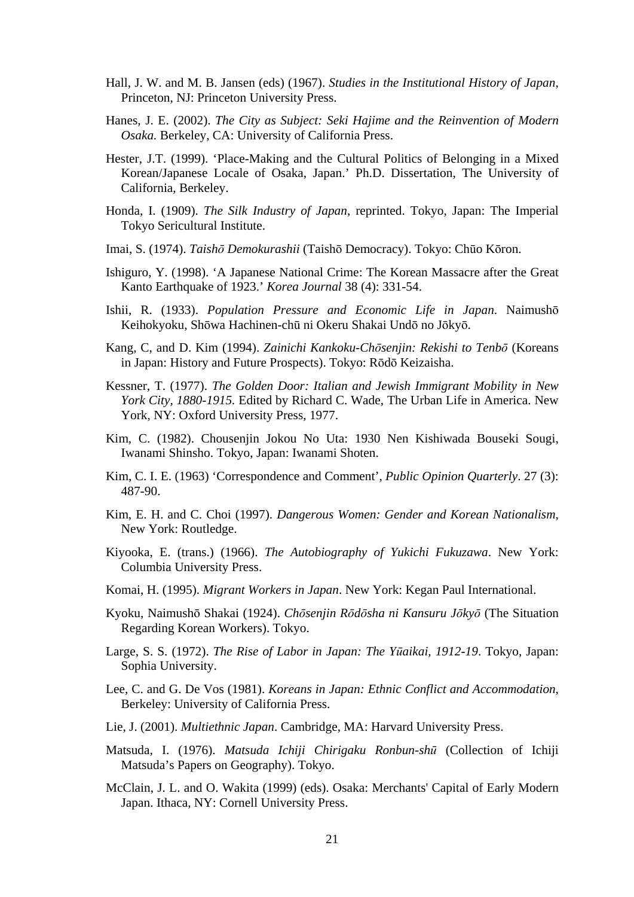- Hall, J. W. and M. B. Jansen (eds) (1967). *Studies in the Institutional History of Japan*, Princeton, NJ: Princeton University Press.
- Hanes, J. E. (2002). *The City as Subject: Seki Hajime and the Reinvention of Modern Osaka.* Berkeley, CA: University of California Press.
- Hester, J.T. (1999). 'Place-Making and the Cultural Politics of Belonging in a Mixed Korean/Japanese Locale of Osaka, Japan.' Ph.D. Dissertation, The University of California, Berkeley.
- Honda, I. (1909). *The Silk Industry of Japan*, reprinted. Tokyo, Japan: The Imperial Tokyo Sericultural Institute.
- Imai, S. (1974). *Taishō Demokurashii* (Taishō Democracy). Tokyo: Chūo Kōron.
- Ishiguro, Y. (1998). 'A Japanese National Crime: The Korean Massacre after the Great Kanto Earthquake of 1923.' *Korea Journal* 38 (4): 331-54.
- Ishii, R. (1933). *Population Pressure and Economic Life in Japan*. Naimushō Keihokyoku, Shōwa Hachinen-chū ni Okeru Shakai Undō no Jōkyō.
- Kang, C, and D. Kim (1994). *Zainichi Kankoku-Chōsenjin: Rekishi to Tenbō* (Koreans in Japan: History and Future Prospects). Tokyo: Rōdō Keizaisha.
- Kessner, T. (1977). *The Golden Door: Italian and Jewish Immigrant Mobility in New York City, 1880-1915.* Edited by Richard C. Wade, The Urban Life in America. New York, NY: Oxford University Press, 1977.
- Kim, C. (1982). Chousenjin Jokou No Uta: 1930 Nen Kishiwada Bouseki Sougi, Iwanami Shinsho. Tokyo, Japan: Iwanami Shoten.
- Kim, C. I. E. (1963) 'Correspondence and Comment', *Public Opinion Quarterly*. 27 (3): 487-90.
- Kim, E. H. and C. Choi (1997). *Dangerous Women: Gender and Korean Nationalism*, New York: Routledge.
- Kiyooka, E. (trans.) (1966). *The Autobiography of Yukichi Fukuzawa*. New York: Columbia University Press.
- Komai, H. (1995). *Migrant Workers in Japan*. New York: Kegan Paul International.
- Kyoku, Naimushō Shakai (1924). *Chōsenjin Rōdōsha ni Kansuru Jōkyō* (The Situation Regarding Korean Workers). Tokyo.
- Large, S. S. (1972). *The Rise of Labor in Japan: The Yūaikai, 1912-19*. Tokyo, Japan: Sophia University.
- Lee, C. and G. De Vos (1981). *Koreans in Japan: Ethnic Conflict and Accommodation*, Berkeley: University of California Press.
- Lie, J. (2001). *Multiethnic Japan*. Cambridge, MA: Harvard University Press.
- Matsuda, I. (1976). *Matsuda Ichiji Chirigaku Ronbun-shū* (Collection of Ichiji Matsuda's Papers on Geography). Tokyo.
- McClain, J. L. and O. Wakita (1999) (eds). Osaka: Merchants' Capital of Early Modern Japan. Ithaca, NY: Cornell University Press.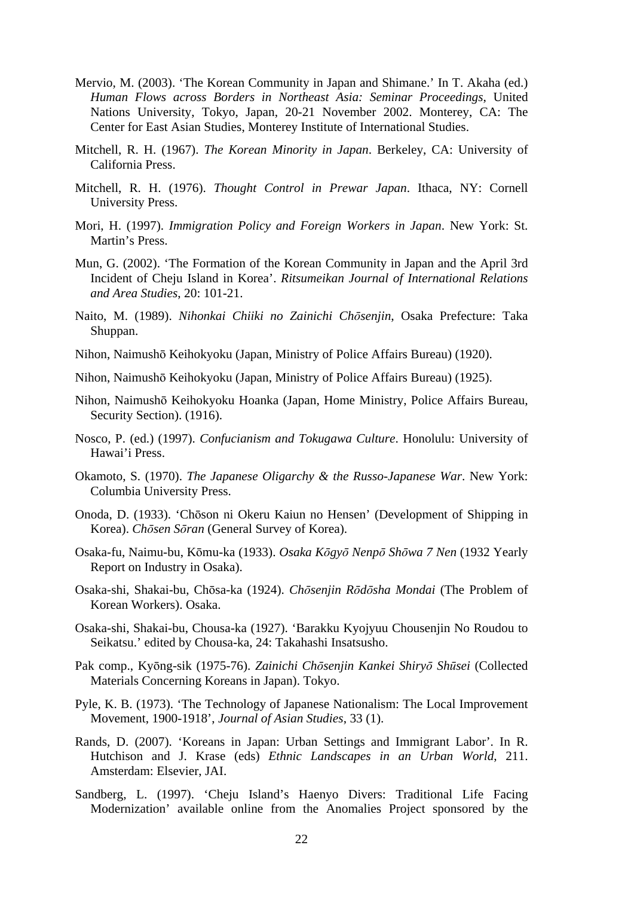- Mervio, M. (2003). 'The Korean Community in Japan and Shimane.' In T. Akaha (ed.) *Human Flows across Borders in Northeast Asia: Seminar Proceedings*, United Nations University, Tokyo, Japan, 20-21 November 2002. Monterey, CA: The Center for East Asian Studies, Monterey Institute of International Studies.
- Mitchell, R. H. (1967). *The Korean Minority in Japan*. Berkeley, CA: University of California Press.
- Mitchell, R. H. (1976). *Thought Control in Prewar Japan*. Ithaca, NY: Cornell University Press.
- Mori, H. (1997). *Immigration Policy and Foreign Workers in Japan*. New York: St. Martin's Press.
- Mun, G. (2002). 'The Formation of the Korean Community in Japan and the April 3rd Incident of Cheju Island in Korea'. *Ritsumeikan Journal of International Relations and Area Studies*, 20: 101-21.
- Naito, M. (1989). *Nihonkai Chiiki no Zainichi Chōsenjin*, Osaka Prefecture: Taka Shuppan.
- Nihon, Naimushō Keihokyoku (Japan, Ministry of Police Affairs Bureau) (1920).
- Nihon, Naimushō Keihokyoku (Japan, Ministry of Police Affairs Bureau) (1925).
- Nihon, Naimushō Keihokyoku Hoanka (Japan, Home Ministry, Police Affairs Bureau, Security Section). (1916).
- Nosco, P. (ed.) (1997). *Confucianism and Tokugawa Culture*. Honolulu: University of Hawai'i Press.
- Okamoto, S. (1970). *The Japanese Oligarchy & the Russo-Japanese War*. New York: Columbia University Press.
- Onoda, D. (1933). 'Chōson ni Okeru Kaiun no Hensen' (Development of Shipping in Korea). *Chōsen Sōran* (General Survey of Korea).
- Osaka-fu, Naimu-bu, Kōmu-ka (1933). *Osaka Kōgyō Nenpō Shōwa 7 Nen* (1932 Yearly Report on Industry in Osaka).
- Osaka-shi, Shakai-bu, Chōsa-ka (1924). *Chōsenjin Rōdōsha Mondai* (The Problem of Korean Workers). Osaka.
- Osaka-shi, Shakai-bu, Chousa-ka (1927). 'Barakku Kyojyuu Chousenjin No Roudou to Seikatsu.' edited by Chousa-ka, 24: Takahashi Insatsusho.
- Pak comp., Kyōng-sik (1975-76). *Zainichi Chōsenjin Kankei Shiryō Shūsei* (Collected Materials Concerning Koreans in Japan). Tokyo.
- Pyle, K. B. (1973). 'The Technology of Japanese Nationalism: The Local Improvement Movement, 1900-1918', *Journal of Asian Studies*, 33 (1).
- Rands, D. (2007). 'Koreans in Japan: Urban Settings and Immigrant Labor'. In R. Hutchison and J. Krase (eds) *Ethnic Landscapes in an Urban World*, 211. Amsterdam: Elsevier, JAI.
- Sandberg, L. (1997). 'Cheju Island's Haenyo Divers: Traditional Life Facing Modernization' available online from the Anomalies Project sponsored by the